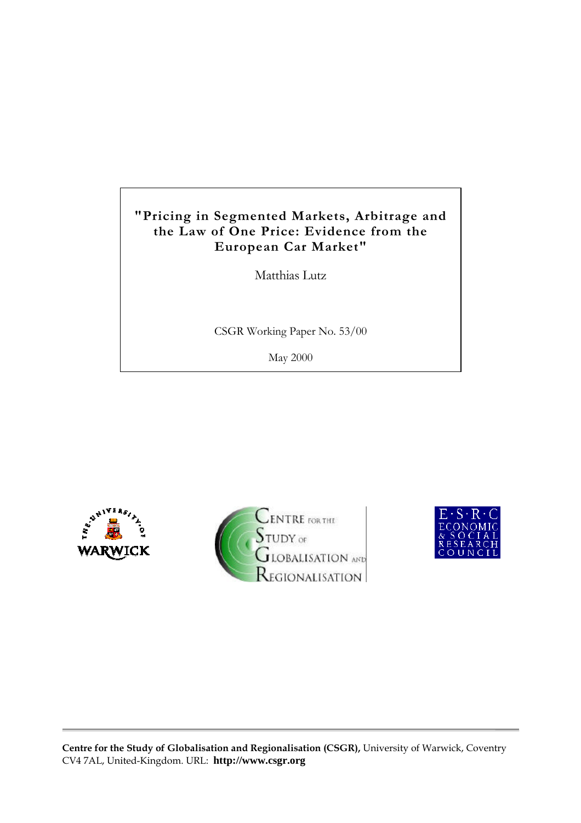# **"Pricing in Segmented Markets, Arbitrage and the Law of One Price: Evidence from the European Car Market"**

Matthias Lutz

CSGR Working Paper No. 53/00

May 2000







**Centre for the Study of Globalisation and Regionalisation (CSGR),** University of Warwick, Coventry CV4 7AL, United-Kingdom. URL: **http://www.csgr.org**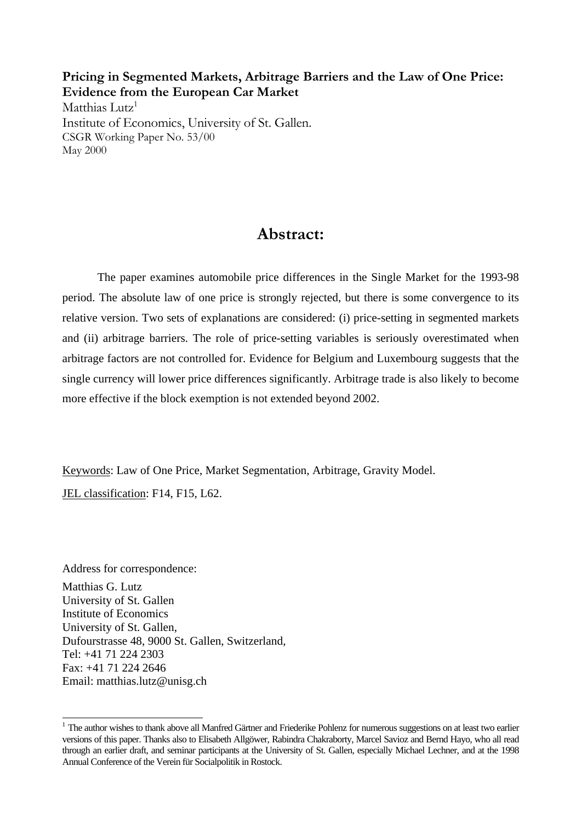**Pricing in Segmented Markets, Arbitrage Barriers and the Law of One Price: Evidence from the European Car Market** Matthias Lutz<sup>1</sup> Institute of Economics, University of St. Gallen. CSGR Working Paper No. 53/00

May 2000

# **Abstract:**

The paper examines automobile price differences in the Single Market for the 1993-98 period. The absolute law of one price is strongly rejected, but there is some convergence to its relative version. Two sets of explanations are considered: (i) price-setting in segmented markets and (ii) arbitrage barriers. The role of price-setting variables is seriously overestimated when arbitrage factors are not controlled for. Evidence for Belgium and Luxembourg suggests that the single currency will lower price differences significantly. Arbitrage trade is also likely to become more effective if the block exemption is not extended beyond 2002.

Keywords: Law of One Price, Market Segmentation, Arbitrage, Gravity Model.

JEL classification: F14, F15, L62.

 $\overline{a}$ 

Address for correspondence: Matthias G. Lutz University of St. Gallen Institute of Economics University of St. Gallen, Dufourstrasse 48, 9000 St. Gallen, Switzerland, Tel: +41 71 224 2303 Fax: +41 71 224 2646 Email: matthias.lutz@unisg.ch

 $1$  The author wishes to thank above all Manfred Gärtner and Friederike Pohlenz for numerous suggestions on at least two earlier versions of this paper. Thanks also to Elisabeth Allgöwer, Rabindra Chakraborty, Marcel Savioz and Bernd Hayo, who all read through an earlier draft, and seminar participants at the University of St. Gallen, especially Michael Lechner, and at the 1998 Annual Conference of the Verein für Socialpolitik in Rostock.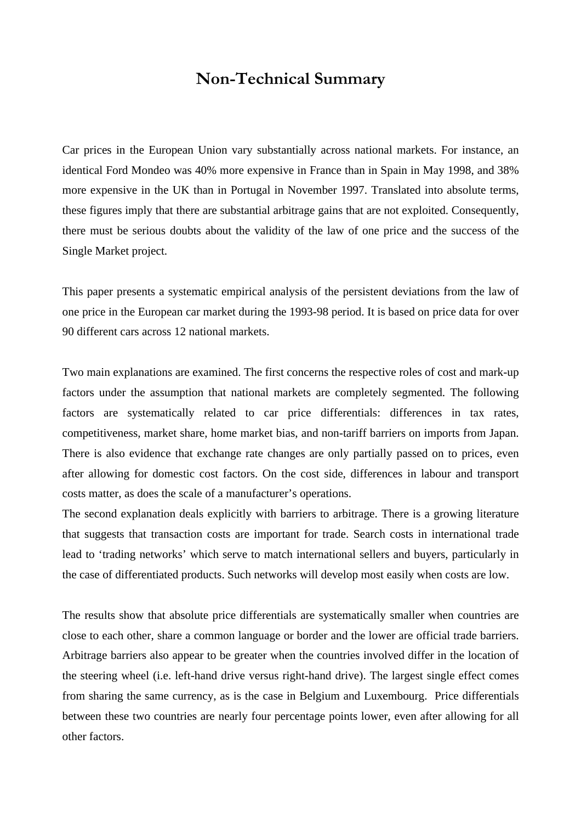# **Non-Technical Summary**

Car prices in the European Union vary substantially across national markets. For instance, an identical Ford Mondeo was 40% more expensive in France than in Spain in May 1998, and 38% more expensive in the UK than in Portugal in November 1997. Translated into absolute terms, these figures imply that there are substantial arbitrage gains that are not exploited. Consequently, there must be serious doubts about the validity of the law of one price and the success of the Single Market project.

This paper presents a systematic empirical analysis of the persistent deviations from the law of one price in the European car market during the 1993-98 period. It is based on price data for over 90 different cars across 12 national markets.

Two main explanations are examined. The first concerns the respective roles of cost and mark-up factors under the assumption that national markets are completely segmented. The following factors are systematically related to car price differentials: differences in tax rates, competitiveness, market share, home market bias, and non-tariff barriers on imports from Japan. There is also evidence that exchange rate changes are only partially passed on to prices, even after allowing for domestic cost factors. On the cost side, differences in labour and transport costs matter, as does the scale of a manufacturer's operations.

The second explanation deals explicitly with barriers to arbitrage. There is a growing literature that suggests that transaction costs are important for trade. Search costs in international trade lead to 'trading networks' which serve to match international sellers and buyers, particularly in the case of differentiated products. Such networks will develop most easily when costs are low.

The results show that absolute price differentials are systematically smaller when countries are close to each other, share a common language or border and the lower are official trade barriers. Arbitrage barriers also appear to be greater when the countries involved differ in the location of the steering wheel (i.e. left-hand drive versus right-hand drive). The largest single effect comes from sharing the same currency, as is the case in Belgium and Luxembourg. Price differentials between these two countries are nearly four percentage points lower, even after allowing for all other factors.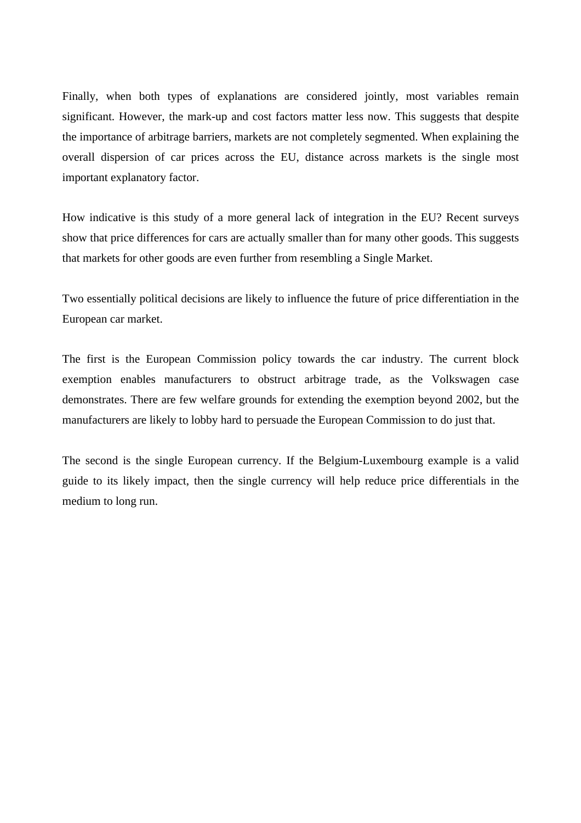Finally, when both types of explanations are considered jointly, most variables remain significant. However, the mark-up and cost factors matter less now. This suggests that despite the importance of arbitrage barriers, markets are not completely segmented. When explaining the overall dispersion of car prices across the EU, distance across markets is the single most important explanatory factor.

How indicative is this study of a more general lack of integration in the EU? Recent surveys show that price differences for cars are actually smaller than for many other goods. This suggests that markets for other goods are even further from resembling a Single Market.

Two essentially political decisions are likely to influence the future of price differentiation in the European car market.

The first is the European Commission policy towards the car industry. The current block exemption enables manufacturers to obstruct arbitrage trade, as the Volkswagen case demonstrates. There are few welfare grounds for extending the exemption beyond 2002, but the manufacturers are likely to lobby hard to persuade the European Commission to do just that.

The second is the single European currency. If the Belgium-Luxembourg example is a valid guide to its likely impact, then the single currency will help reduce price differentials in the medium to long run.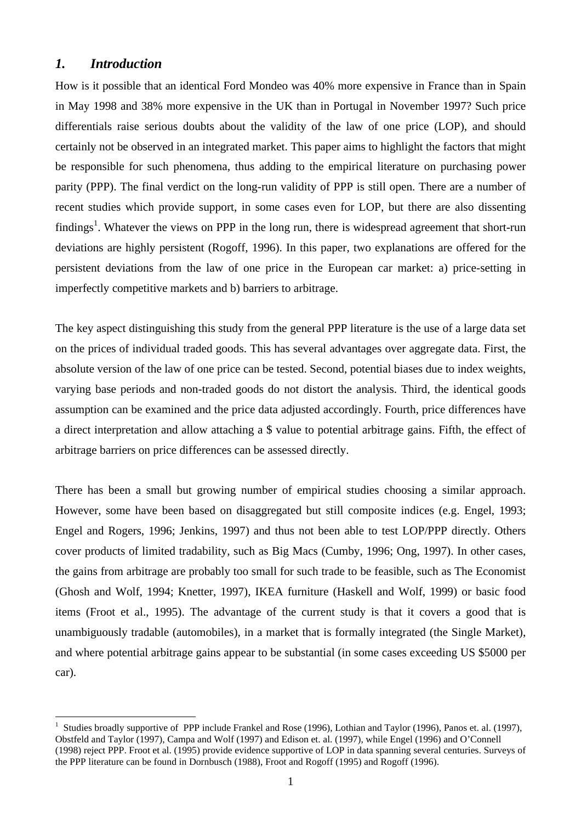## *1. Introduction*

How is it possible that an identical Ford Mondeo was 40% more expensive in France than in Spain in May 1998 and 38% more expensive in the UK than in Portugal in November 1997? Such price differentials raise serious doubts about the validity of the law of one price (LOP), and should certainly not be observed in an integrated market. This paper aims to highlight the factors that might be responsible for such phenomena, thus adding to the empirical literature on purchasing power parity (PPP). The final verdict on the long-run validity of PPP is still open. There are a number of recent studies which provide support, in some cases even for LOP, but there are also dissenting findings<sup>1</sup>. Whatever the views on PPP in the long run, there is widespread agreement that short-run deviations are highly persistent (Rogoff, 1996). In this paper, two explanations are offered for the persistent deviations from the law of one price in the European car market: a) price-setting in imperfectly competitive markets and b) barriers to arbitrage.

The key aspect distinguishing this study from the general PPP literature is the use of a large data set on the prices of individual traded goods. This has several advantages over aggregate data. First, the absolute version of the law of one price can be tested. Second, potential biases due to index weights, varying base periods and non-traded goods do not distort the analysis. Third, the identical goods assumption can be examined and the price data adjusted accordingly. Fourth, price differences have a direct interpretation and allow attaching a \$ value to potential arbitrage gains. Fifth, the effect of arbitrage barriers on price differences can be assessed directly.

There has been a small but growing number of empirical studies choosing a similar approach. However, some have been based on disaggregated but still composite indices (e.g. Engel, 1993; Engel and Rogers, 1996; Jenkins, 1997) and thus not been able to test LOP/PPP directly. Others cover products of limited tradability, such as Big Macs (Cumby, 1996; Ong, 1997). In other cases, the gains from arbitrage are probably too small for such trade to be feasible, such as The Economist (Ghosh and Wolf, 1994; Knetter, 1997), IKEA furniture (Haskell and Wolf, 1999) or basic food items (Froot et al., 1995). The advantage of the current study is that it covers a good that is unambiguously tradable (automobiles), in a market that is formally integrated (the Single Market), and where potential arbitrage gains appear to be substantial (in some cases exceeding US \$5000 per car).

 $\overline{a}$ <sup>1</sup> Studies broadly supportive of PPP include Frankel and Rose (1996), Lothian and Taylor (1996), Panos et. al. (1997), Obstfeld and Taylor (1997), Campa and Wolf (1997) and Edison et. al. (1997), while Engel (1996) and O'Connell (1998) reject PPP. Froot et al. (1995) provide evidence supportive of LOP in data spanning several centuries. Surveys of the PPP literature can be found in Dornbusch (1988), Froot and Rogoff (1995) and Rogoff (1996).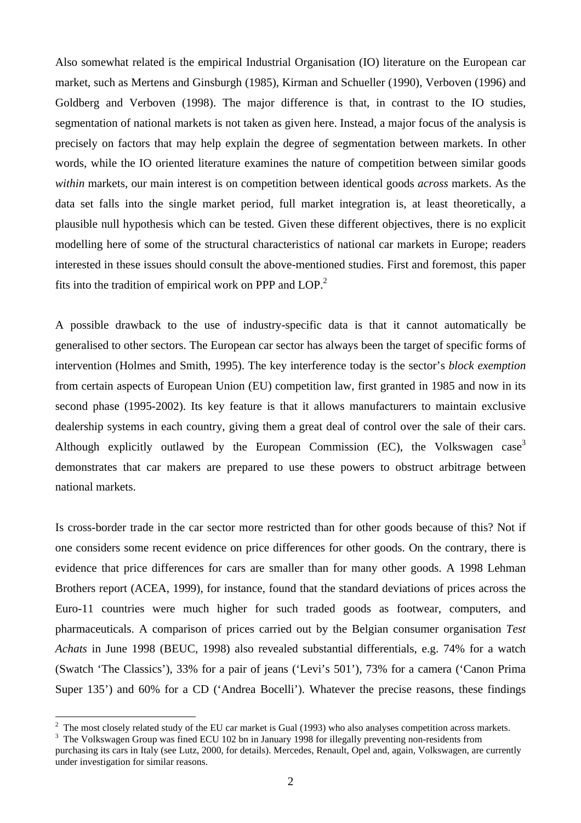Also somewhat related is the empirical Industrial Organisation (IO) literature on the European car market, such as Mertens and Ginsburgh (1985), Kirman and Schueller (1990), Verboven (1996) and Goldberg and Verboven (1998). The major difference is that, in contrast to the IO studies, segmentation of national markets is not taken as given here. Instead, a major focus of the analysis is precisely on factors that may help explain the degree of segmentation between markets. In other words, while the IO oriented literature examines the nature of competition between similar goods *within* markets, our main interest is on competition between identical goods *across* markets. As the data set falls into the single market period, full market integration is, at least theoretically, a plausible null hypothesis which can be tested. Given these different objectives, there is no explicit modelling here of some of the structural characteristics of national car markets in Europe; readers interested in these issues should consult the above-mentioned studies. First and foremost, this paper fits into the tradition of empirical work on PPP and  $LOP<sup>2</sup>$ .

A possible drawback to the use of industry-specific data is that it cannot automatically be generalised to other sectors. The European car sector has always been the target of specific forms of intervention (Holmes and Smith, 1995). The key interference today is the sector's *block exemption* from certain aspects of European Union (EU) competition law, first granted in 1985 and now in its second phase (1995-2002). Its key feature is that it allows manufacturers to maintain exclusive dealership systems in each country, giving them a great deal of control over the sale of their cars. Although explicitly outlawed by the European Commission (EC), the Volkswagen case<sup>3</sup> demonstrates that car makers are prepared to use these powers to obstruct arbitrage between national markets.

Is cross-border trade in the car sector more restricted than for other goods because of this? Not if one considers some recent evidence on price differences for other goods. On the contrary, there is evidence that price differences for cars are smaller than for many other goods. A 1998 Lehman Brothers report (ACEA, 1999), for instance, found that the standard deviations of prices across the Euro-11 countries were much higher for such traded goods as footwear, computers, and pharmaceuticals. A comparison of prices carried out by the Belgian consumer organisation *Test Achats* in June 1998 (BEUC, 1998) also revealed substantial differentials, e.g. 74% for a watch (Swatch 'The Classics'), 33% for a pair of jeans ('Levi's 501'), 73% for a camera ('Canon Prima Super 135') and 60% for a CD ('Andrea Bocelli'). Whatever the precise reasons, these findings

<sup>3</sup> The Volkswagen Group was fined ECU 102 bn in January 1998 for illegally preventing non-residents from

<sup>&</sup>lt;sup>2</sup> The most closely related study of the EU car market is Gual (1993) who also analyses competition across markets.

purchasing its cars in Italy (see Lutz, 2000, for details). Mercedes, Renault, Opel and, again, Volkswagen, are currently under investigation for similar reasons.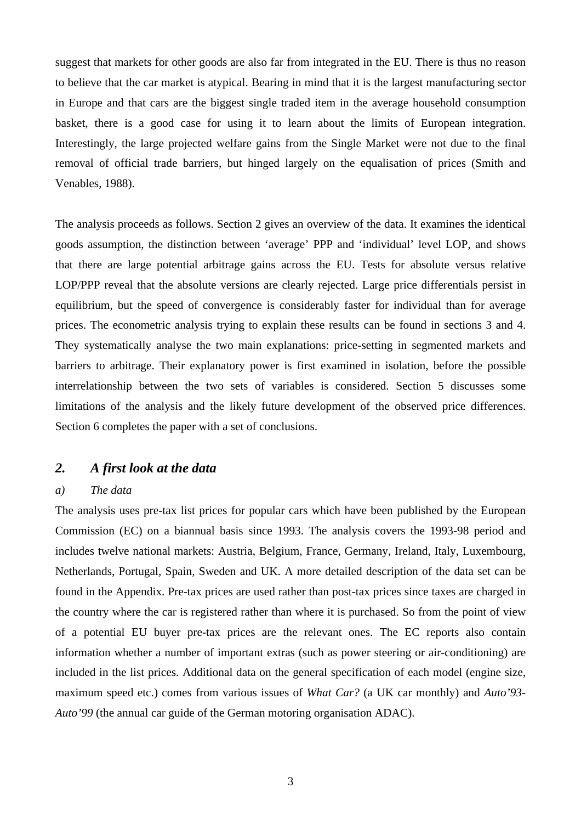suggest that markets for other goods are also far from integrated in the EU. There is thus no reason to believe that the car market is atypical. Bearing in mind that it is the largest manufacturing sector in Europe and that cars are the biggest single traded item in the average household consumption basket, there is a good case for using it to learn about the limits of European integration. Interestingly, the large projected welfare gains from the Single Market were not due to the final removal of official trade barriers, but hinged largely on the equalisation of prices (Smith and Venables, 1988).

The analysis proceeds as follows. Section 2 gives an overview of the data. It examines the identical goods assumption, the distinction between 'average' PPP and 'individual' level LOP, and shows that there are large potential arbitrage gains across the EU. Tests for absolute versus relative LOP/PPP reveal that the absolute versions are clearly rejected. Large price differentials persist in equilibrium, but the speed of convergence is considerably faster for individual than for average prices. The econometric analysis trying to explain these results can be found in sections 3 and 4. They systematically analyse the two main explanations: price-setting in segmented markets and barriers to arbitrage. Their explanatory power is first examined in isolation, before the possible interrelationship between the two sets of variables is considered. Section 5 discusses some limitations of the analysis and the likely future development of the observed price differences. Section 6 completes the paper with a set of conclusions.

## *2. A first look at the data*

### *a) The data*

The analysis uses pre-tax list prices for popular cars which have been published by the European Commission (EC) on a biannual basis since 1993. The analysis covers the 1993-98 period and includes twelve national markets: Austria, Belgium, France, Germany, Ireland, Italy, Luxembourg, Netherlands, Portugal, Spain, Sweden and UK. A more detailed description of the data set can be found in the Appendix. Pre-tax prices are used rather than post-tax prices since taxes are charged in the country where the car is registered rather than where it is purchased. So from the point of view of a potential EU buyer pre-tax prices are the relevant ones. The EC reports also contain information whether a number of important extras (such as power steering or air-conditioning) are included in the list prices. Additional data on the general specification of each model (engine size, maximum speed etc.) comes from various issues of *What Car?* (a UK car monthly) and *Auto'93*- *Auto'99* (the annual car guide of the German motoring organisation ADAC).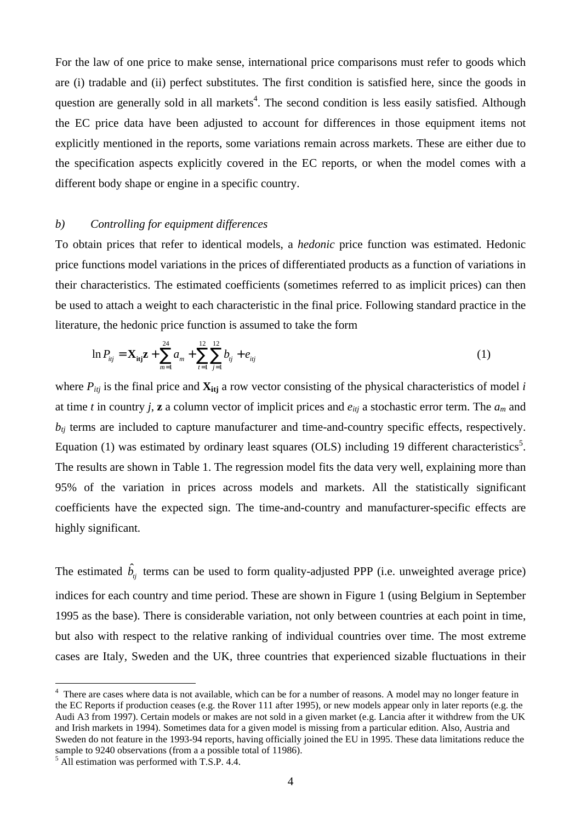For the law of one price to make sense, international price comparisons must refer to goods which are (i) tradable and (ii) perfect substitutes. The first condition is satisfied here, since the goods in question are generally sold in all markets<sup>4</sup>. The second condition is less easily satisfied. Although the EC price data have been adjusted to account for differences in those equipment items not explicitly mentioned in the reports, some variations remain across markets. These are either due to the specification aspects explicitly covered in the EC reports, or when the model comes with a different body shape or engine in a specific country.

#### *b) Controlling for equipment differences*

To obtain prices that refer to identical models, a *hedonic* price function was estimated. Hedonic price functions model variations in the prices of differentiated products as a function of variations in their characteristics. The estimated coefficients (sometimes referred to as implicit prices) can then be used to attach a weight to each characteristic in the final price. Following standard practice in the literature, the hedonic price function is assumed to take the form

$$
\ln P_{ij} = \mathbf{X}_{\text{itj}} \mathbf{z} + \sum_{m=1}^{24} a_m + \sum_{t=1}^{12} \sum_{j=1}^{12} b_{ij} + e_{ij}
$$
 (1)

where  $P_{ij}$  is the final price and  $\mathbf{X}_{ij}$  a row vector consisting of the physical characteristics of model *i* at time *t* in country *j*, **z** a column vector of implicit prices and  $e_{itj}$  a stochastic error term. The  $a_m$  and  $b_{ti}$  terms are included to capture manufacturer and time-and-country specific effects, respectively. Equation (1) was estimated by ordinary least squares (OLS) including 19 different characteristics<sup>5</sup>. The results are shown in Table 1. The regression model fits the data very well, explaining more than 95% of the variation in prices across models and markets. All the statistically significant coefficients have the expected sign. The time-and-country and manufacturer-specific effects are highly significant.

The estimated  $\hat{b}_{j}$  terms can be used to form quality-adjusted PPP (i.e. unweighted average price) indices for each country and time period. These are shown in Figure 1 (using Belgium in September 1995 as the base). There is considerable variation, not only between countries at each point in time, but also with respect to the relative ranking of individual countries over time. The most extreme cases are Italy, Sweden and the UK, three countries that experienced sizable fluctuations in their

 $\overline{a}$ 

<sup>&</sup>lt;sup>4</sup> There are cases where data is not available, which can be for a number of reasons. A model may no longer feature in the EC Reports if production ceases (e.g. the Rover 111 after 1995), or new models appear only in later reports (e.g. the Audi A3 from 1997). Certain models or makes are not sold in a given market (e.g. Lancia after it withdrew from the UK and Irish markets in 1994). Sometimes data for a given model is missing from a particular edition. Also, Austria and Sweden do not feature in the 1993-94 reports, having officially joined the EU in 1995. These data limitations reduce the sample to 9240 observations (from a a possible total of 11986).

 $<sup>5</sup>$  All estimation was performed with T.S.P. 4.4.</sup>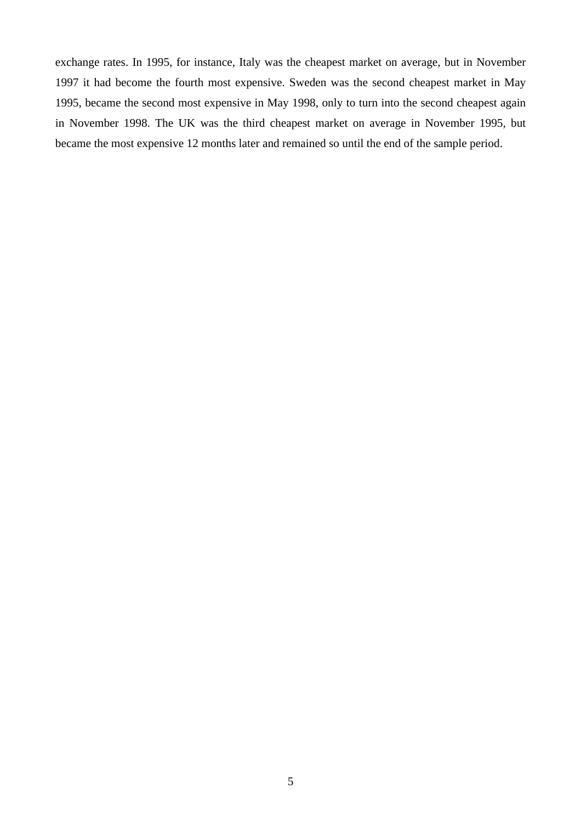exchange rates. In 1995, for instance, Italy was the cheapest market on average, but in November 1997 it had become the fourth most expensive. Sweden was the second cheapest market in May 1995, became the second most expensive in May 1998, only to turn into the second cheapest again in November 1998. The UK was the third cheapest market on average in November 1995, but became the most expensive 12 months later and remained so until the end of the sample period.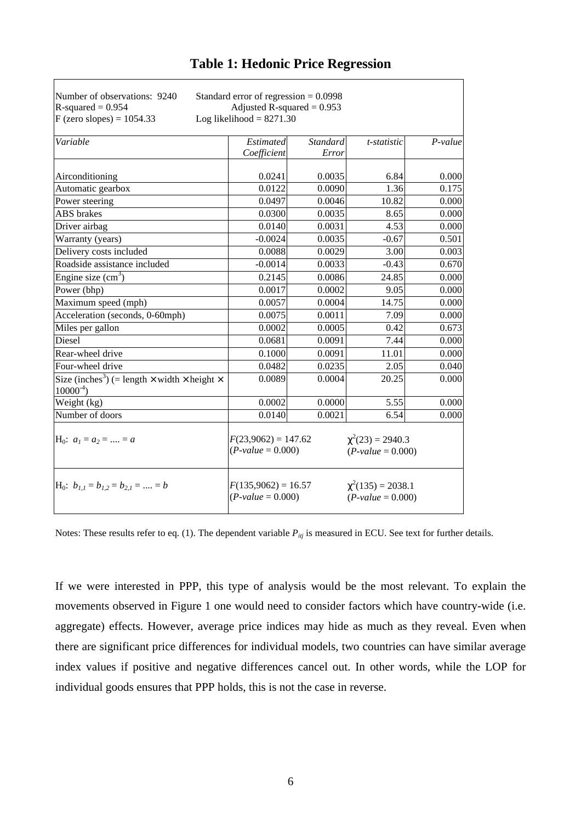| Number of observations: 9240<br>$R$ -squared = 0.954                                            | Standard error of regression $= 0.0998$<br>Adjusted R-squared $= 0.953$ |                 |                                               |           |
|-------------------------------------------------------------------------------------------------|-------------------------------------------------------------------------|-----------------|-----------------------------------------------|-----------|
| $F$ (zero slopes) = 1054.33                                                                     | Log likelihood = $8271.30$                                              |                 |                                               |           |
| Variable                                                                                        | Estimated                                                               | <b>Standard</b> | t-statistic                                   | $P-value$ |
|                                                                                                 | Coefficient                                                             | Error           |                                               |           |
| Airconditioning                                                                                 | 0.0241                                                                  | 0.0035          | 6.84                                          | 0.000     |
| Automatic gearbox                                                                               | 0.0122                                                                  | 0.0090          | 1.36                                          | 0.175     |
| Power steering                                                                                  | 0.0497                                                                  | 0.0046          | 10.82                                         | 0.000     |
| <b>ABS</b> brakes                                                                               | 0.0300                                                                  | 0.0035          | 8.65                                          | 0.000     |
| Driver airbag                                                                                   | 0.0140                                                                  | 0.0031          | 4.53                                          | 0.000     |
| Warranty (years)                                                                                | $-0.0024$                                                               | 0.0035          | $-0.67$                                       | 0.501     |
| Delivery costs included                                                                         | 0.0088                                                                  | 0.0029          | 3.00                                          | 0.003     |
| Roadside assistance included                                                                    | $-0.0014$                                                               | 0.0033          | $-0.43$                                       | 0.670     |
| Engine size $(cm3)$                                                                             | 0.2145                                                                  | 0.0086          | 24.85                                         | 0.000     |
| Power (bhp)                                                                                     | 0.0017                                                                  | 0.0002          | 9.05                                          | 0.000     |
| Maximum speed (mph)                                                                             | 0.0057                                                                  | 0.0004          | 14.75                                         | 0.000     |
| Acceleration (seconds, 0-60mph)                                                                 | 0.0075                                                                  | 0.0011          | 7.09                                          | 0.000     |
| Miles per gallon                                                                                | 0.0002                                                                  | 0.0005          | 0.42                                          | 0.673     |
| Diesel                                                                                          | 0.0681                                                                  | 0.0091          | 7.44                                          | 0.000     |
| Rear-wheel drive                                                                                | 0.1000                                                                  | 0.0091          | 11.01                                         | 0.000     |
| Four-wheel drive                                                                                | 0.0482                                                                  | 0.0235          | 2.05                                          | 0.040     |
| Size (inches <sup>3</sup> ) (= length $\times$ width $\times$ height $\times$<br>$10000^{-4}$ ) | 0.0089                                                                  | 0.0004          | 20.25                                         | 0.000     |
| Weight (kg)                                                                                     | 0.0002                                                                  | 0.0000          | 5.55                                          | 0.000     |
| Number of doors                                                                                 | 0.0140                                                                  | 0.0021          | 6.54                                          | 0.000     |
| $H_0$ : $a_1 = a_2 =  = a$                                                                      | $F(23,9062) = 147.62$<br>$(P-value = 0.000)$                            |                 | $\chi^2(23) = 2940.3$<br>$(P-value = 0.000)$  |           |
| $H_0$ : $b_{1,1} = b_{1,2} = b_{2,1} =  = b$                                                    | $F(135,9062) = 16.57$<br>$(P-value = 0.000)$                            |                 | $\chi^2(135) = 2038.1$<br>$(P-value = 0.000)$ |           |

Notes: These results refer to eq. (1). The dependent variable  $P_{ij}$  is measured in ECU. See text for further details.

If we were interested in PPP, this type of analysis would be the most relevant. To explain the movements observed in Figure 1 one would need to consider factors which have country-wide (i.e. aggregate) effects. However, average price indices may hide as much as they reveal. Even when there are significant price differences for individual models, two countries can have similar average index values if positive and negative differences cancel out. In other words, while the LOP for individual goods ensures that PPP holds, this is not the case in reverse.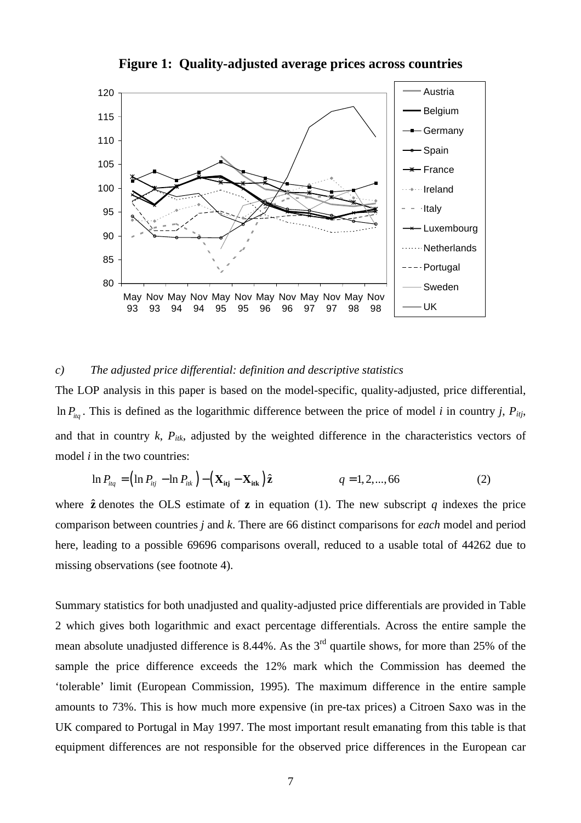

**Figure 1: Quality-adjusted average prices across countries**

#### *c) The adjusted price differential: definition and descriptive statistics*

The LOP analysis in this paper is based on the model-specific, quality-adjusted, price differential, In  $P_{liq}$ . This is defined as the logarithmic difference between the price of model *i* in country *j*,  $P_{ij}$ , and that in country *k*, *Pitk*, adjusted by the weighted difference in the characteristics vectors of model *i* in the two countries:

$$
\ln P_{\text{itq}} = \left(\ln P_{\text{itq}} - \ln P_{\text{itk}}\right) - \left(\mathbf{X}_{\text{itq}} - \mathbf{X}_{\text{itk}}\right)\hat{\mathbf{z}} \qquad \qquad q = 1, 2, ..., 66 \qquad (2)
$$

where  $\hat{z}$  denotes the OLS estimate of  $z$  in equation (1). The new subscript *q* indexes the price comparison between countries *j* and *k*. There are 66 distinct comparisons for *each* model and period here, leading to a possible 69696 comparisons overall, reduced to a usable total of 44262 due to missing observations (see footnote 4).

Summary statistics for both unadjusted and quality-adjusted price differentials are provided in Table 2 which gives both logarithmic and exact percentage differentials. Across the entire sample the mean absolute unadjusted difference is 8.44%. As the  $3<sup>rd</sup>$  quartile shows, for more than 25% of the sample the price difference exceeds the 12% mark which the Commission has deemed the 'tolerable' limit (European Commission, 1995). The maximum difference in the entire sample amounts to 73%. This is how much more expensive (in pre-tax prices) a Citroen Saxo was in the UK compared to Portugal in May 1997. The most important result emanating from this table is that equipment differences are not responsible for the observed price differences in the European car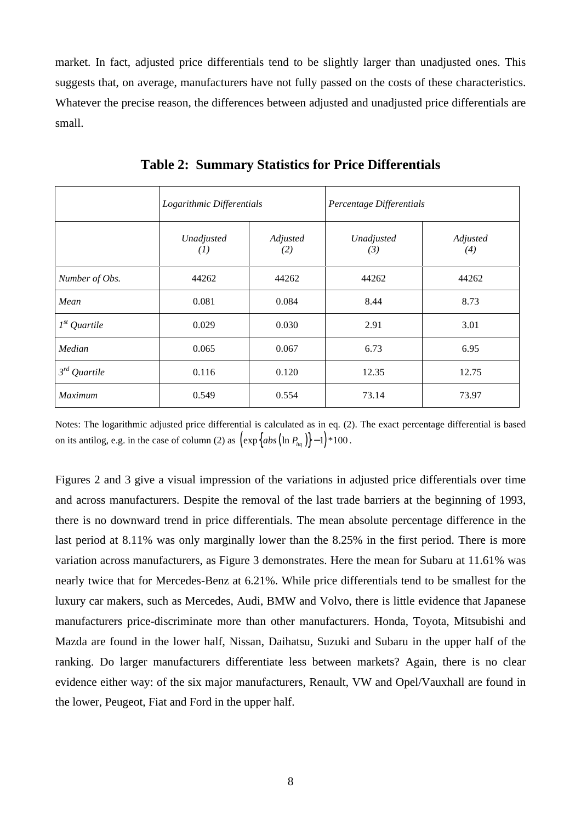market. In fact, adjusted price differentials tend to be slightly larger than unadjusted ones. This suggests that, on average, manufacturers have not fully passed on the costs of these characteristics. Whatever the precise reason, the differences between adjusted and unadjusted price differentials are small.

|                   | Logarithmic Differentials      |                 | Percentage Differentials |                 |
|-------------------|--------------------------------|-----------------|--------------------------|-----------------|
|                   | Unadjusted<br>$\left(1\right)$ | Adjusted<br>(2) | Unadjusted<br>(3)        | Adjusted<br>(4) |
| Number of Obs.    | 44262                          | 44262           | 44262                    | 44262           |
| Mean              | 0.081                          | 0.084           | 8.44                     | 8.73            |
| $1^{st}$ Quartile | 0.029                          | 0.030           | 2.91                     | 3.01            |
| Median            | 0.065                          | 0.067           | 6.73                     | 6.95            |
| $3^{rd}$ Quartile | 0.116                          | 0.120           | 12.35                    | 12.75           |
| Maximum           | 0.549                          | 0.554           | 73.14                    | 73.97           |

**Table 2: Summary Statistics for Price Differentials**

Notes: The logarithmic adjusted price differential is calculated as in eq. (2). The exact percentage differential is based on its antilog, e.g. in the case of column (2) as  $\left(\exp\left\{abs\left(\ln P_{liq}\right)\right\}-1\right)\neq 100$ .

Figures 2 and 3 give a visual impression of the variations in adjusted price differentials over time and across manufacturers. Despite the removal of the last trade barriers at the beginning of 1993, there is no downward trend in price differentials. The mean absolute percentage difference in the last period at 8.11% was only marginally lower than the 8.25% in the first period. There is more variation across manufacturers, as Figure 3 demonstrates. Here the mean for Subaru at 11.61% was nearly twice that for Mercedes-Benz at 6.21%. While price differentials tend to be smallest for the luxury car makers, such as Mercedes, Audi, BMW and Volvo, there is little evidence that Japanese manufacturers price-discriminate more than other manufacturers. Honda, Toyota, Mitsubishi and Mazda are found in the lower half, Nissan, Daihatsu, Suzuki and Subaru in the upper half of the ranking. Do larger manufacturers differentiate less between markets? Again, there is no clear evidence either way: of the six major manufacturers, Renault, VW and Opel/Vauxhall are found in the lower, Peugeot, Fiat and Ford in the upper half.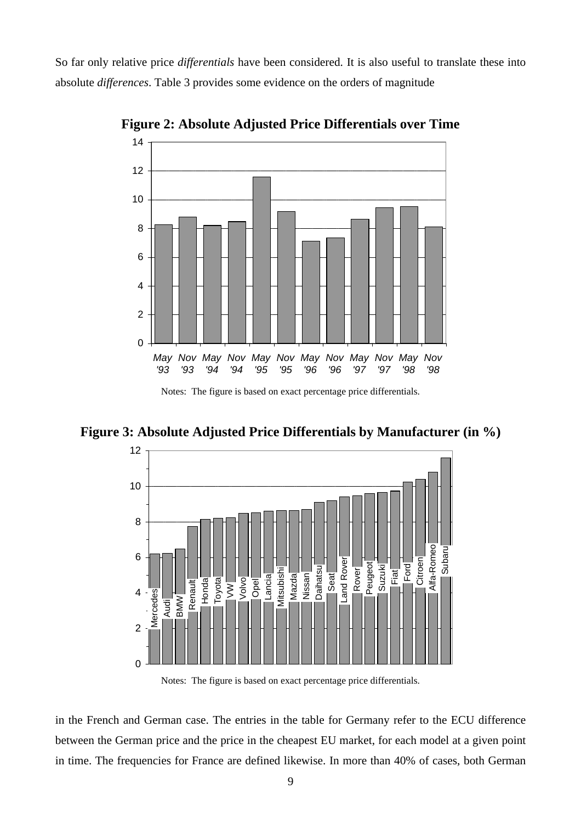So far only relative price *differentials* have been considered. It is also useful to translate these into absolute *differences*. Table 3 provides some evidence on the orders of magnitude



**Figure 2: Absolute Adjusted Price Differentials over Time**

Notes: The figure is based on exact percentage price differentials.

**Figure 3: Absolute Adjusted Price Differentials by Manufacturer (in %)**



Notes: The figure is based on exact percentage price differentials.

in the French and German case. The entries in the table for Germany refer to the ECU difference between the German price and the price in the cheapest EU market, for each model at a given point in time. The frequencies for France are defined likewise. In more than 40% of cases, both German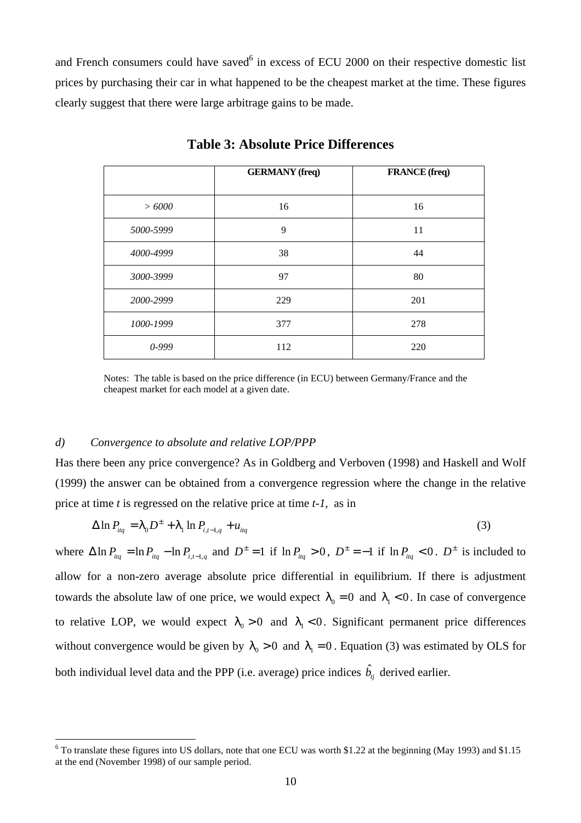and French consumers could have saved<sup>6</sup> in excess of ECU 2000 on their respective domestic list prices by purchasing their car in what happened to be the cheapest market at the time. These figures clearly suggest that there were large arbitrage gains to be made.

|           | <b>GERMANY</b> (freq) | <b>FRANCE</b> (freq) |
|-----------|-----------------------|----------------------|
| > 6000    | 16                    | 16                   |
| 5000-5999 | 9                     | 11                   |
| 4000-4999 | 38                    | 44                   |
| 3000-3999 | 97                    | 80                   |
| 2000-2999 | 229                   | 201                  |
| 1000-1999 | 377                   | 278                  |
| 0-999     | 112                   | 220                  |

**Table 3: Absolute Price Differences**

Notes: The table is based on the price difference (in ECU) between Germany/France and the cheapest market for each model at a given date.

#### *d) Convergence to absolute and relative LOP/PPP*

 $\overline{a}$ 

Has there been any price convergence? As in Goldberg and Verboven (1998) and Haskell and Wolf (1999) the answer can be obtained from a convergence regression where the change in the relative price at time *t* is regressed on the relative price at time *t-1*, as in

$$
\Delta \ln P_{liq} = I_0 D^{\pm} + I_1 \ln P_{i,t-1,q} + u_{liq} \tag{3}
$$

where  $\Delta \ln P_{\text{Hg}} = \ln P_{\text{Hg}} - \ln P_{\text{Hg}}$  and  $D^{\pm} = 1$  if  $\ln P_{\text{Hg}} > 0$ ,  $D^{\pm} = -1$  if  $\ln P_{\text{Hg}} < 0$ .  $D^{\pm}$  is included to allow for a non-zero average absolute price differential in equilibrium. If there is adjustment towards the absolute law of one price, we would expect  $I_0 = 0$  and  $I_1 < 0$ . In case of convergence to relative LOP, we would expect  $I_0 > 0$  and  $I_1 < 0$ . Significant permanent price differences without convergence would be given by  $I_0 > 0$  and  $I_1 = 0$ . Equation (3) was estimated by OLS for both individual level data and the PPP (i.e. average) price indices  $\hat{b}_i$  derived earlier.

<sup>&</sup>lt;sup>6</sup> To translate these figures into US dollars, note that one ECU was worth \$1.22 at the beginning (May 1993) and \$1.15 at the end (November 1998) of our sample period.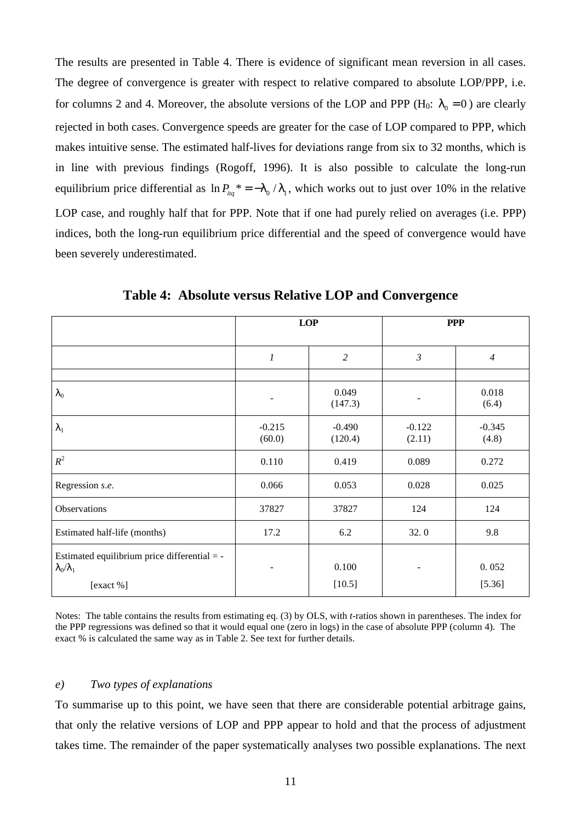The results are presented in Table 4. There is evidence of significant mean reversion in all cases. The degree of convergence is greater with respect to relative compared to absolute LOP/PPP, i.e. for columns 2 and 4. Moreover, the absolute versions of the LOP and PPP ( $H_0$ :  $I_0 = 0$ ) are clearly rejected in both cases. Convergence speeds are greater for the case of LOP compared to PPP, which makes intuitive sense. The estimated half-lives for deviations range from six to 32 months, which is in line with previous findings (Rogoff, 1996). It is also possible to calculate the long-run equilibrium price differential as  $\ln P_{liq}$  \* =  $-I_0/I_1$ , which works out to just over 10% in the relative LOP case, and roughly half that for PPP. Note that if one had purely relied on averages (i.e. PPP) indices, both the long-run equilibrium price differential and the speed of convergence would have been severely underestimated.

|                                                                                          | LOP                |                     | <b>PPP</b>         |                   |
|------------------------------------------------------------------------------------------|--------------------|---------------------|--------------------|-------------------|
|                                                                                          | $\boldsymbol{l}$   | $\overline{c}$      | 3                  | $\overline{4}$    |
|                                                                                          |                    |                     |                    |                   |
| $\boldsymbol{I}_0$                                                                       |                    | 0.049<br>(147.3)    |                    | 0.018<br>(6.4)    |
| $I_1$                                                                                    | $-0.215$<br>(60.0) | $-0.490$<br>(120.4) | $-0.122$<br>(2.11) | $-0.345$<br>(4.8) |
| $R^2$                                                                                    | 0.110              | 0.419               | 0.089              | 0.272             |
| Regression s.e.                                                                          | 0.066              | 0.053               | 0.028              | 0.025             |
| Observations                                                                             | 37827              | 37827               | 124                | 124               |
| Estimated half-life (months)                                                             | 17.2               | 6.2                 | 32.0               | 9.8               |
| Estimated equilibrium price differential = -<br>$\mathbf{I}_0/\mathbf{I}_1$<br>[exact %] |                    | 0.100<br>[10.5]     |                    | 0.052<br>[5.36]   |

**Table 4: Absolute versus Relative LOP and Convergence**

Notes: The table contains the results from estimating eq. (3) by OLS, with *t*-ratios shown in parentheses. The index for the PPP regressions was defined so that it would equal one (zero in logs) in the case of absolute PPP (column 4). The exact % is calculated the same way as in Table 2. See text for further details.

#### *e) Two types of explanations*

To summarise up to this point, we have seen that there are considerable potential arbitrage gains, that only the relative versions of LOP and PPP appear to hold and that the process of adjustment takes time. The remainder of the paper systematically analyses two possible explanations. The next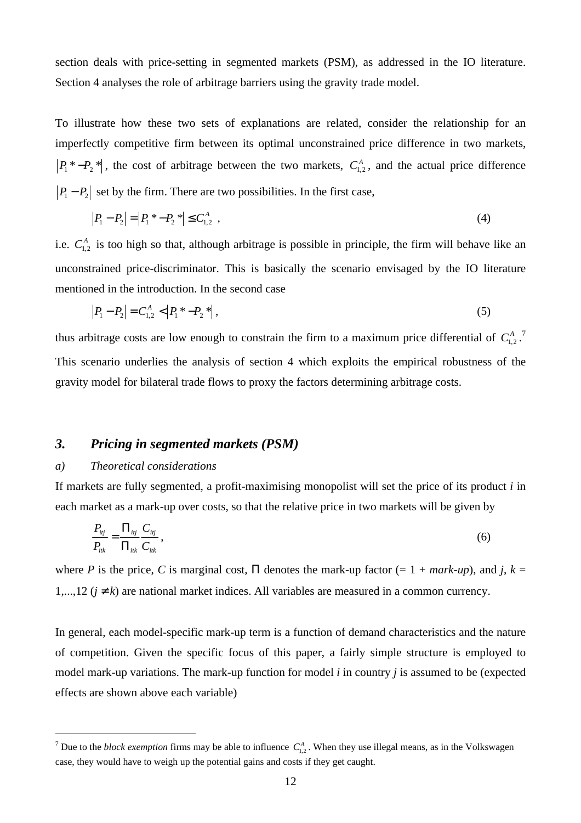section deals with price-setting in segmented markets (PSM), as addressed in the IO literature. Section 4 analyses the role of arbitrage barriers using the gravity trade model.

To illustrate how these two sets of explanations are related, consider the relationship for an imperfectly competitive firm between its optimal unconstrained price difference in two markets,  $P_1^*P_2^*$ , the cost of arbitrage between the two markets,  $C_{1,2}^A$ , and the actual price difference  $P_1 - P_2$  set by the firm. There are two possibilities. In the first case,

$$
|P_1 - P_2| = |P_1^* - P_2^*| \le C_{1,2}^A \tag{4}
$$

i.e.  $C_{1,2}^A$  is too high so that, although arbitrage is possible in principle, the firm will behave like an unconstrained price-discriminator. This is basically the scenario envisaged by the IO literature mentioned in the introduction. In the second case

$$
|P_1 - P_2| = C_{1,2}^A < |P_1^* - P_2^*| \,,\tag{5}
$$

thus arbitrage costs are low enough to constrain the firm to a maximum price differential of  $C_{1,2}^A$ .<sup>7</sup> This scenario underlies the analysis of section 4 which exploits the empirical robustness of the gravity model for bilateral trade flows to proxy the factors determining arbitrage costs.

### *3. Pricing in segmented markets (PSM)*

#### *a) Theoretical considerations*

 $\overline{a}$ 

If markets are fully segmented, a profit-maximising monopolist will set the price of its product *i* in each market as a mark-up over costs, so that the relative price in two markets will be given by

$$
\frac{P_{ij}}{P_{ik}} = \frac{\Pi_{ij}}{\Pi_{ik}} \frac{C_{ij}}{C_{ik}},
$$
\n(6)

where *P* is the price, *C* is marginal cost,  $\Pi$  denotes the mark-up factor (= 1 + *mark-up*), and *j*,  $k =$ 1,...,12 ( $j \neq k$ ) are national market indices. All variables are measured in a common currency.

In general, each model-specific mark-up term is a function of demand characteristics and the nature of competition. Given the specific focus of this paper, a fairly simple structure is employed to model mark-up variations. The mark-up function for model *i* in country *j* is assumed to be (expected effects are shown above each variable)

<sup>&</sup>lt;sup>7</sup> Due to the *block exemption* firms may be able to influence  $C_{1,2}^A$ . When they use illegal means, as in the Volkswagen case, they would have to weigh up the potential gains and costs if they get caught.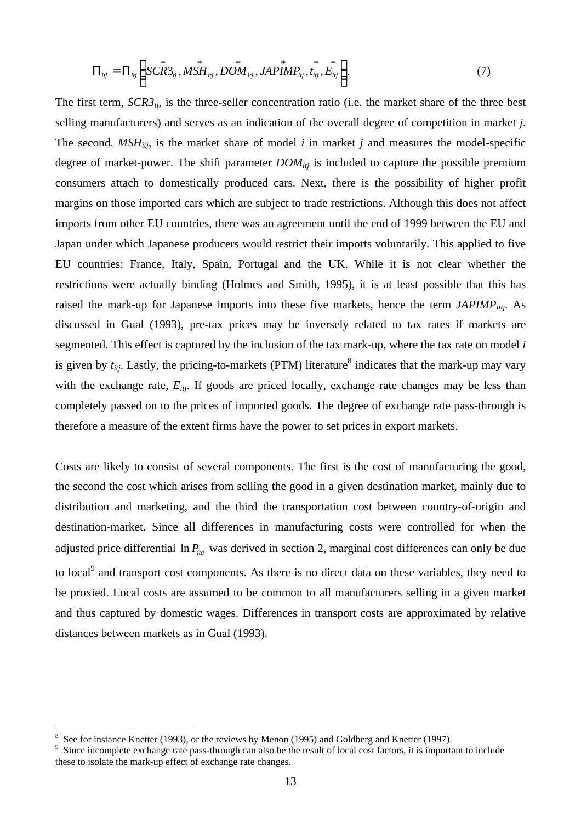$$
\Pi_{ij} = \Pi_{ij} \bigg( SCR3_{ij}, MSH_{ij}, DOM_{ij}, JAPIMP_{ij}, t_{ij}, E_{ij} \bigg). \tag{7}
$$

The first term,  $\frac{SCR3_{ti}}{s}$  is the three-seller concentration ratio (i.e. the market share of the three best selling manufacturers) and serves as an indication of the overall degree of competition in market *j*. The second,  $MSH<sub>itj</sub>$ , is the market share of model *i* in market *j* and measures the model-specific degree of market-power. The shift parameter *DOMitj* is included to capture the possible premium consumers attach to domestically produced cars. Next, there is the possibility of higher profit margins on those imported cars which are subject to trade restrictions. Although this does not affect imports from other EU countries, there was an agreement until the end of 1999 between the EU and Japan under which Japanese producers would restrict their imports voluntarily. This applied to five EU countries: France, Italy, Spain, Portugal and the UK. While it is not clear whether the restrictions were actually binding (Holmes and Smith, 1995), it is at least possible that this has raised the mark-up for Japanese imports into these five markets, hence the term *JAPIMPitq*. As discussed in Gual (1993), pre-tax prices may be inversely related to tax rates if markets are segmented. This effect is captured by the inclusion of the tax mark-up, where the tax rate on model *i* is given by  $t_{ij}$ . Lastly, the pricing-to-markets (PTM) literature<sup>8</sup> indicates that the mark-up may vary with the exchange rate,  $E_{itj}$ . If goods are priced locally, exchange rate changes may be less than completely passed on to the prices of imported goods. The degree of exchange rate pass-through is therefore a measure of the extent firms have the power to set prices in export markets.

Costs are likely to consist of several components. The first is the cost of manufacturing the good, the second the cost which arises from selling the good in a given destination market, mainly due to distribution and marketing, and the third the transportation cost between country-of-origin and destination-market. Since all differences in manufacturing costs were controlled for when the adjusted price differential  $\ln P_{\text{trq}}$  was derived in section 2, marginal cost differences can only be due to local<sup>9</sup> and transport cost components. As there is no direct data on these variables, they need to be proxied. Local costs are assumed to be common to all manufacturers selling in a given market and thus captured by domestic wages. Differences in transport costs are approximated by relative distances between markets as in Gual (1993).

 $\overline{a}$ 

<sup>8</sup> See for instance Knetter (1993), or the reviews by Menon (1995) and Goldberg and Knetter (1997).

<sup>9</sup> Since incomplete exchange rate pass-through can also be the result of local cost factors, it is important to include these to isolate the mark-up effect of exchange rate changes.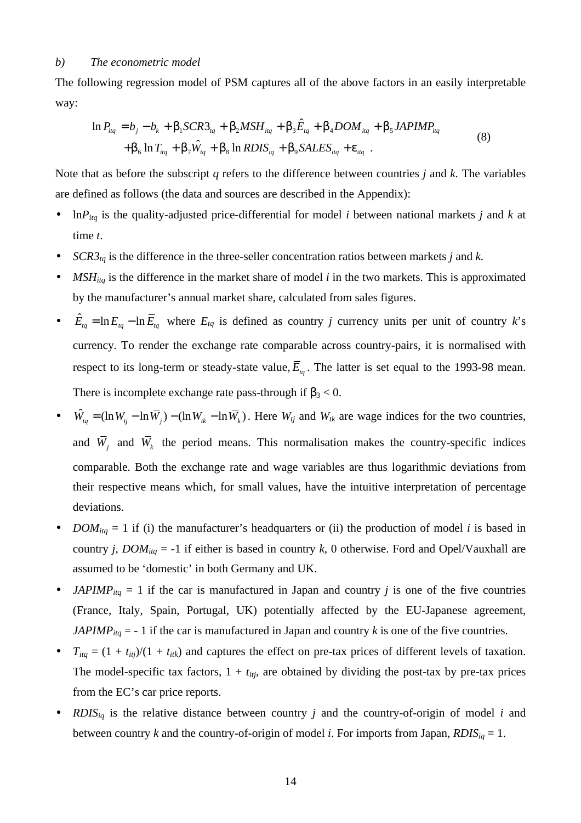#### *b) The econometric model*

The following regression model of PSM captures all of the above factors in an easily interpretable way:

$$
\ln P_{liq} = b_j - b_k + \boldsymbol{b}_1 SCR3_{iq} + \boldsymbol{b}_2 MSH_{iq} + \boldsymbol{b}_3 \hat{E}_{iq} + \boldsymbol{b}_4 DOM_{iq} + \boldsymbol{b}_5 JAPIMP_{liq} + \boldsymbol{b}_6 \ln T_{liq} + \boldsymbol{b}_7 \hat{W}_{iq} + \boldsymbol{b}_8 \ln RDIS_{iq} + \boldsymbol{b}_9 SALES_{iq} + \boldsymbol{e}_{liq}
$$
 (8)

Note that as before the subscript *q* refers to the difference between countries *j* and *k*. The variables are defined as follows (the data and sources are described in the Appendix):

- ln*Pitq* is the quality-adjusted price-differential for model *i* between national markets *j* and *k* at time *t*.
- *SCR3* $_{tq}$  is the difference in the three-seller concentration ratios between markets *j* and *k*.
- $MSH_{itq}$  is the difference in the market share of model *i* in the two markets. This is approximated by the manufacturer's annual market share, calculated from sales figures.
- $\hat{E}_{ta} = \ln E_{ta} - \ln \overline{E}_{ta}$  where  $E_{ta}$  is defined as country *j* currency units per unit of country *k*'s currency. To render the exchange rate comparable across country-pairs, it is normalised with respect to its long-term or steady-state value,  $E_{tq}$ . The latter is set equal to the 1993-98 mean. There is incomplete exchange rate pass-through if  $\mathbf{b}_3 < 0$ .
- $\hat{W}_{tq} = (\ln W_{tq} - \ln \overline{W}_{t}) - (\ln W_{tk} - \ln \overline{W}_{t})$ . Here  $W_{tq}$  and  $W_{tk}$  are wage indices for the two countries, and  $W_j$  and  $W_k$  the period means. This normalisation makes the country-specific indices comparable. Both the exchange rate and wage variables are thus logarithmic deviations from their respective means which, for small values, have the intuitive interpretation of percentage deviations.
- *DOM*<sub>itq</sub> = 1 if (i) the manufacturer's headquarters or (ii) the production of model *i* is based in country *j*, *DOM*<sub>itq</sub> = -1 if either is based in country *k*, 0 otherwise. Ford and Opel/Vauxhall are assumed to be 'domestic' in both Germany and UK.
- *JAPIMP*<sub>itq</sub> = 1 if the car is manufactured in Japan and country *j* is one of the five countries (France, Italy, Spain, Portugal, UK) potentially affected by the EU-Japanese agreement, *JAPIMP*<sub>itq</sub> = - 1 if the car is manufactured in Japan and country *k* is one of the five countries.
- $T_{itq} = (1 + t_{itj})/(1 + t_{itk})$  and captures the effect on pre-tax prices of different levels of taxation. The model-specific tax factors,  $1 + t_{itj}$ , are obtained by dividing the post-tax by pre-tax prices from the EC's car price reports.
- *RDIS<sub>ig</sub>* is the relative distance between country *j* and the country-of-origin of model *i* and between country *k* and the country-of-origin of model *i*. For imports from Japan,  $RDIS_{iq} = 1$ .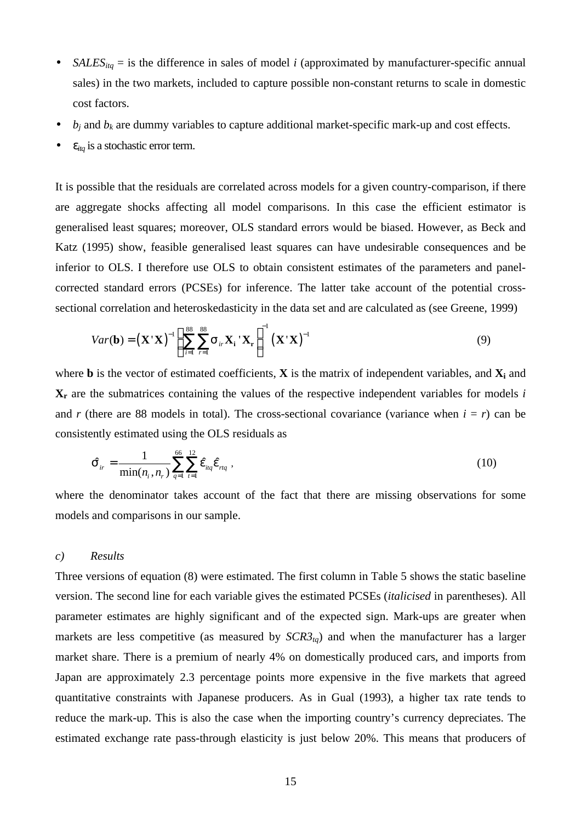- *SALES*<sub>itq</sub> = is the difference in sales of model *i* (approximated by manufacturer-specific annual sales) in the two markets, included to capture possible non-constant returns to scale in domestic cost factors.
- $\bullet$  *b<sub>j</sub>* and *b<sub>k</sub>* are dummy variables to capture additional market-specific mark-up and cost effects.
- $e_{ita}$  is a stochastic error term.

It is possible that the residuals are correlated across models for a given country-comparison, if there are aggregate shocks affecting all model comparisons. In this case the efficient estimator is generalised least squares; moreover, OLS standard errors would be biased. However, as Beck and Katz (1995) show, feasible generalised least squares can have undesirable consequences and be inferior to OLS. I therefore use OLS to obtain consistent estimates of the parameters and panelcorrected standard errors (PCSEs) for inference. The latter take account of the potential crosssectional correlation and heteroskedasticity in the data set and are calculated as (see Greene, 1999)

$$
Var(\mathbf{b}) = (\mathbf{X}^{\top}\mathbf{X})^{-1} \left( \sum_{i=1}^{88} \sum_{r=1}^{88} \mathbf{S}_{ir} \mathbf{X}_{i}^{\top} \mathbf{X}_{r} \right)^{-1} (\mathbf{X}^{\top}\mathbf{X})^{-1}
$$
(9)

where **b** is the vector of estimated coefficients, **X** is the matrix of independent variables, and **X<sup>i</sup>** and **Xr** are the submatrices containing the values of the respective independent variables for models *i* and *r* (there are 88 models in total). The cross-sectional covariance (variance when  $i = r$ ) can be consistently estimated using the OLS residuals as

$$
\hat{\boldsymbol{S}}_{ir} = \frac{1}{\min(n_i, n_r)} \sum_{q=1}^{66} \sum_{t=1}^{12} \hat{\boldsymbol{e}}_{iq} \hat{\boldsymbol{e}}_{rq} ,
$$
\n(10)

where the denominator takes account of the fact that there are missing observations for some models and comparisons in our sample.

#### *c) Results*

Three versions of equation (8) were estimated. The first column in Table 5 shows the static baseline version. The second line for each variable gives the estimated PCSEs (*italicised* in parentheses). All parameter estimates are highly significant and of the expected sign. Mark-ups are greater when markets are less competitive (as measured by  $SCR3<sub>ta</sub>$ ) and when the manufacturer has a larger market share. There is a premium of nearly 4% on domestically produced cars, and imports from Japan are approximately 2.3 percentage points more expensive in the five markets that agreed quantitative constraints with Japanese producers. As in Gual (1993), a higher tax rate tends to reduce the mark-up. This is also the case when the importing country's currency depreciates. The estimated exchange rate pass-through elasticity is just below 20%. This means that producers of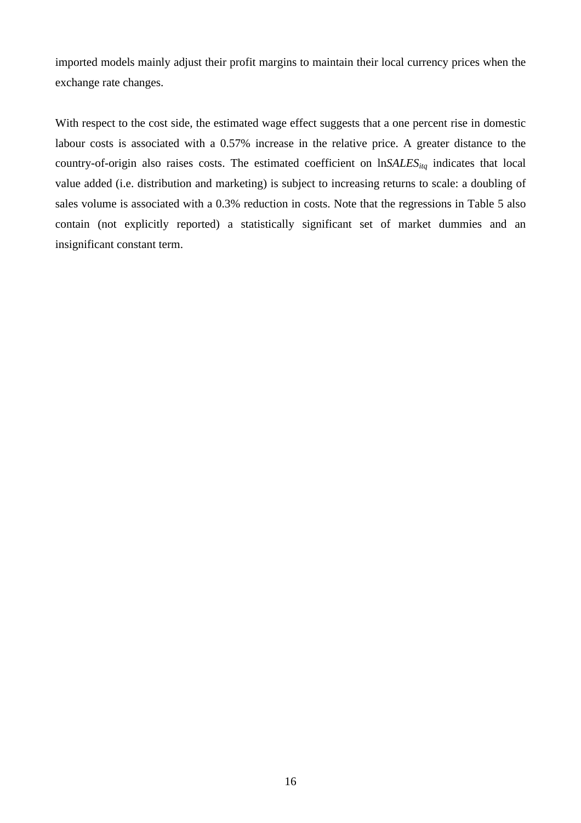imported models mainly adjust their profit margins to maintain their local currency prices when the exchange rate changes.

With respect to the cost side, the estimated wage effect suggests that a one percent rise in domestic labour costs is associated with a 0.57% increase in the relative price. A greater distance to the country-of-origin also raises costs. The estimated coefficient on ln*SALESitq* indicates that local value added (i.e. distribution and marketing) is subject to increasing returns to scale: a doubling of sales volume is associated with a 0.3% reduction in costs. Note that the regressions in Table 5 also contain (not explicitly reported) a statistically significant set of market dummies and an insignificant constant term.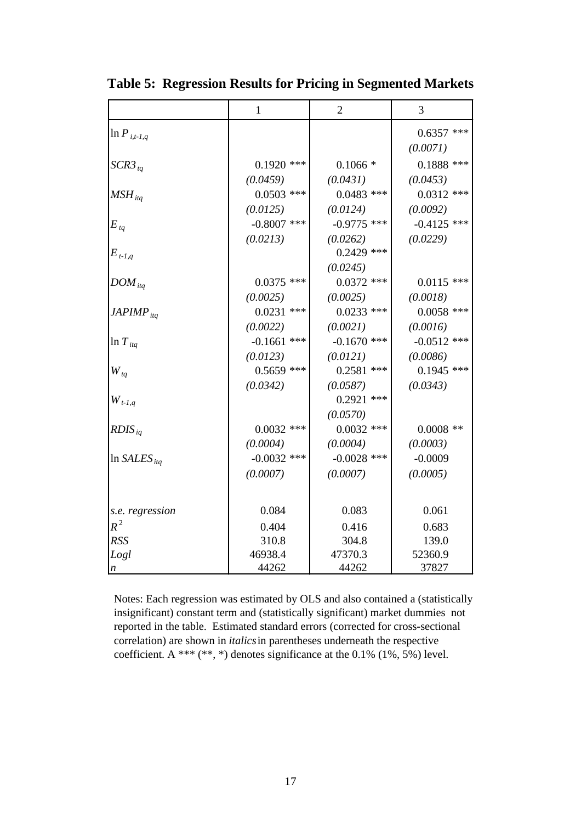|                                 | $\mathbf{1}$  | $\overline{2}$ | 3             |
|---------------------------------|---------------|----------------|---------------|
| $\ln P_{i,t-1,q}$               |               |                | $0.6357$ ***  |
|                                 |               |                | (0.0071)      |
| $SCR3_{tq}$                     | $0.1920$ ***  | $0.1066*$      | $0.1888$ ***  |
|                                 | (0.0459)      | (0.0431)       | (0.0453)      |
| $MSH_{itq}$                     | $0.0503$ ***  | $0.0483$ ***   | $0.0312$ ***  |
|                                 | (0.0125)      | (0.0124)       | (0.0092)      |
| $E_{tq}$                        | $-0.8007$ *** | $-0.9775$ ***  | $-0.4125$ *** |
|                                 | (0.0213)      | (0.0262)       | (0.0229)      |
| $E_{t-1,q}$                     |               | $0.2429$ ***   |               |
|                                 |               | (0.0245)       |               |
| $DOM_{itq}$                     | $0.0375$ ***  | $0.0372$ ***   | $0.0115$ ***  |
|                                 | (0.0025)      | (0.0025)       | (0.0018)      |
| $JAPIMP_{itq}$                  | $0.0231$ ***  | $0.0233$ ***   | $0.0058$ ***  |
|                                 | (0.0022)      | (0.0021)       | (0.0016)      |
| $\ln T_{itq}$                   | $-0.1661$ *** | $-0.1670$ ***  | $-0.0512$ *** |
|                                 | (0.0123)      | (0.0121)       | (0.0086)      |
| $W_{tq}$                        | $0.5659$ ***  | $0.2581$ ***   | $0.1945$ ***  |
|                                 | (0.0342)      | (0.0587)       | (0.0343)      |
| $\boldsymbol{W}_{t\text{-}l,q}$ |               | $0.2921$ ***   |               |
|                                 |               | (0.0570)       |               |
| $RDIS_{iq}$                     | $0.0032$ ***  | $0.0032$ ***   | $0.0008$ **   |
|                                 | (0.0004)      | (0.0004)       | (0.0003)      |
| $\ln SALES_{ita}$               | $-0.0032$ *** | $-0.0028$ ***  | $-0.0009$     |
|                                 | (0.0007)      | (0.0007)       | (0.0005)      |
|                                 |               |                |               |
| s.e. regression                 | 0.084         | 0.083          | 0.061         |
| $R^2$                           | 0.404         | 0.416          | 0.683         |
| <b>RSS</b>                      | 310.8         | 304.8          | 139.0         |
| Logl                            | 46938.4       | 47370.3        | 52360.9       |
| $\boldsymbol{n}$                | 44262         | 44262          | 37827         |

**Table 5: Regression Results for Pricing in Segmented Markets**

Notes: Each regression was estimated by OLS and also contained a (statistically insignificant) constant term and (statistically significant) market dummies not reported in the table. Estimated standard errors (corrected for cross-sectional correlation) are shown in *italics* in parentheses underneath the respective coefficient. A \*\*\* (\*\*, \*) denotes significance at the  $0.1\%$  (1%, 5%) level.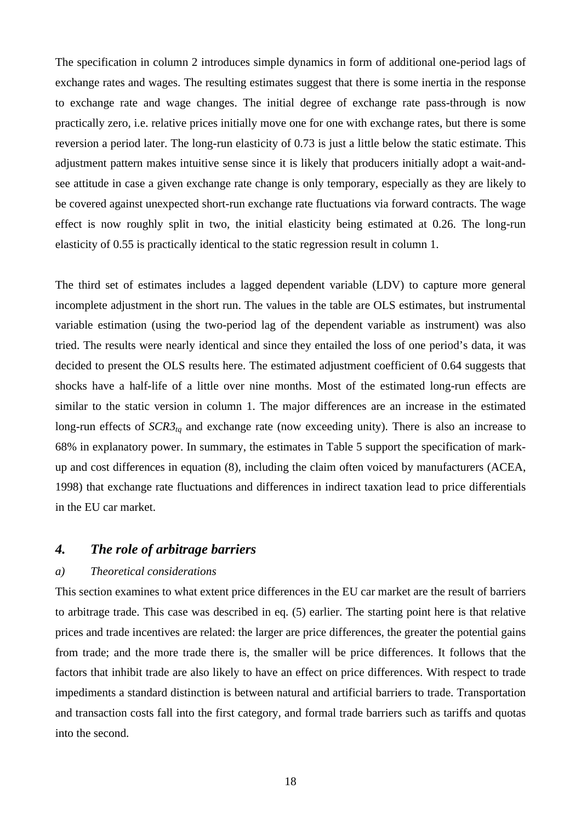The specification in column 2 introduces simple dynamics in form of additional one-period lags of exchange rates and wages. The resulting estimates suggest that there is some inertia in the response to exchange rate and wage changes. The initial degree of exchange rate pass-through is now practically zero, i.e. relative prices initially move one for one with exchange rates, but there is some reversion a period later. The long-run elasticity of 0.73 is just a little below the static estimate. This adjustment pattern makes intuitive sense since it is likely that producers initially adopt a wait-andsee attitude in case a given exchange rate change is only temporary, especially as they are likely to be covered against unexpected short-run exchange rate fluctuations via forward contracts. The wage effect is now roughly split in two, the initial elasticity being estimated at 0.26. The long-run elasticity of 0.55 is practically identical to the static regression result in column 1.

The third set of estimates includes a lagged dependent variable (LDV) to capture more general incomplete adjustment in the short run. The values in the table are OLS estimates, but instrumental variable estimation (using the two-period lag of the dependent variable as instrument) was also tried. The results were nearly identical and since they entailed the loss of one period's data, it was decided to present the OLS results here. The estimated adjustment coefficient of 0.64 suggests that shocks have a half-life of a little over nine months. Most of the estimated long-run effects are similar to the static version in column 1. The major differences are an increase in the estimated long-run effects of  $SCR3<sub>tq</sub>$  and exchange rate (now exceeding unity). There is also an increase to 68% in explanatory power. In summary, the estimates in Table 5 support the specification of markup and cost differences in equation (8), including the claim often voiced by manufacturers (ACEA, 1998) that exchange rate fluctuations and differences in indirect taxation lead to price differentials in the EU car market.

### *4. The role of arbitrage barriers*

#### *a) Theoretical considerations*

This section examines to what extent price differences in the EU car market are the result of barriers to arbitrage trade. This case was described in eq. (5) earlier. The starting point here is that relative prices and trade incentives are related: the larger are price differences, the greater the potential gains from trade; and the more trade there is, the smaller will be price differences. It follows that the factors that inhibit trade are also likely to have an effect on price differences. With respect to trade impediments a standard distinction is between natural and artificial barriers to trade. Transportation and transaction costs fall into the first category, and formal trade barriers such as tariffs and quotas into the second.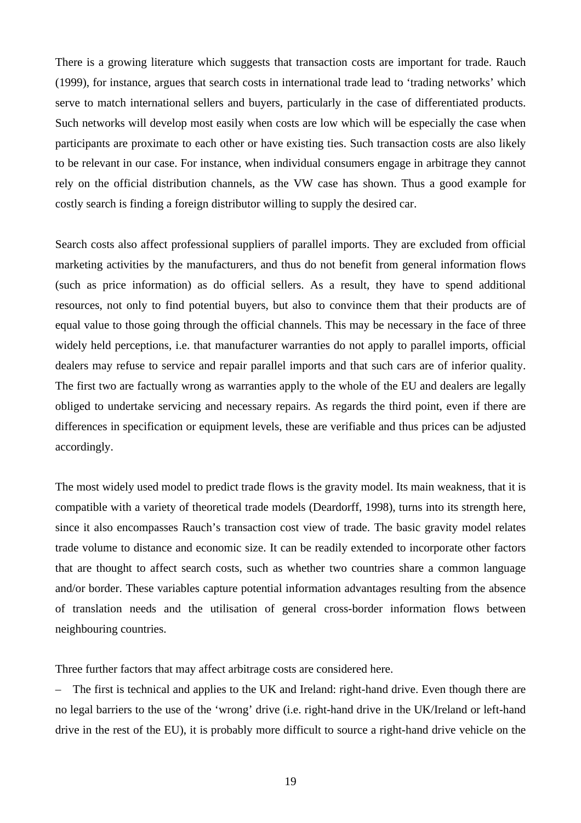There is a growing literature which suggests that transaction costs are important for trade. Rauch (1999), for instance, argues that search costs in international trade lead to 'trading networks' which serve to match international sellers and buyers, particularly in the case of differentiated products. Such networks will develop most easily when costs are low which will be especially the case when participants are proximate to each other or have existing ties. Such transaction costs are also likely to be relevant in our case. For instance, when individual consumers engage in arbitrage they cannot rely on the official distribution channels, as the VW case has shown. Thus a good example for costly search is finding a foreign distributor willing to supply the desired car.

Search costs also affect professional suppliers of parallel imports. They are excluded from official marketing activities by the manufacturers, and thus do not benefit from general information flows (such as price information) as do official sellers. As a result, they have to spend additional resources, not only to find potential buyers, but also to convince them that their products are of equal value to those going through the official channels. This may be necessary in the face of three widely held perceptions, i.e. that manufacturer warranties do not apply to parallel imports, official dealers may refuse to service and repair parallel imports and that such cars are of inferior quality. The first two are factually wrong as warranties apply to the whole of the EU and dealers are legally obliged to undertake servicing and necessary repairs. As regards the third point, even if there are differences in specification or equipment levels, these are verifiable and thus prices can be adjusted accordingly.

The most widely used model to predict trade flows is the gravity model. Its main weakness, that it is compatible with a variety of theoretical trade models (Deardorff, 1998), turns into its strength here, since it also encompasses Rauch's transaction cost view of trade. The basic gravity model relates trade volume to distance and economic size. It can be readily extended to incorporate other factors that are thought to affect search costs, such as whether two countries share a common language and/or border. These variables capture potential information advantages resulting from the absence of translation needs and the utilisation of general cross-border information flows between neighbouring countries.

Three further factors that may affect arbitrage costs are considered here.

– The first is technical and applies to the UK and Ireland: right-hand drive. Even though there are no legal barriers to the use of the 'wrong' drive (i.e. right-hand drive in the UK/Ireland or left-hand drive in the rest of the EU), it is probably more difficult to source a right-hand drive vehicle on the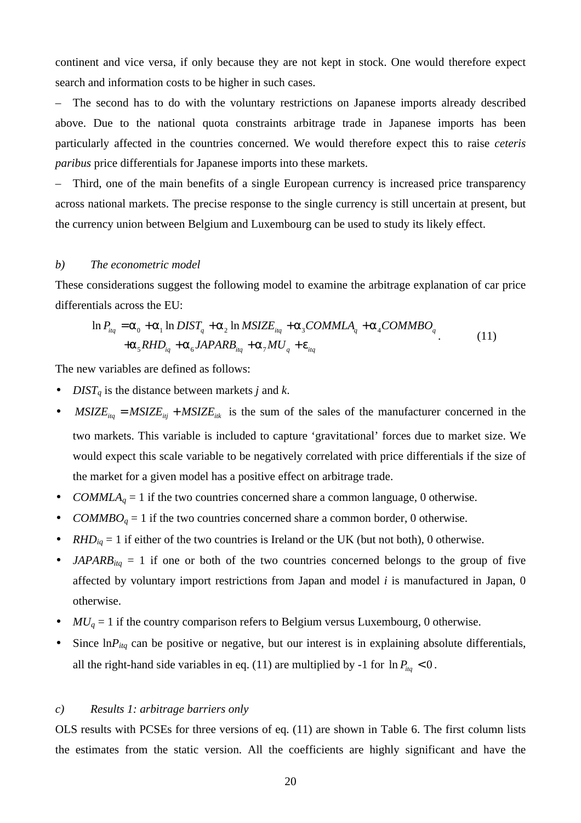continent and vice versa, if only because they are not kept in stock. One would therefore expect search and information costs to be higher in such cases.

– The second has to do with the voluntary restrictions on Japanese imports already described above. Due to the national quota constraints arbitrage trade in Japanese imports has been particularly affected in the countries concerned. We would therefore expect this to raise *ceteris paribus* price differentials for Japanese imports into these markets.

– Third, one of the main benefits of a single European currency is increased price transparency across national markets. The precise response to the single currency is still uncertain at present, but the currency union between Belgium and Luxembourg can be used to study its likely effect.

#### *b) The econometric model*

These considerations suggest the following model to examine the arbitrage explanation of car price differentials across the EU:

$$
\ln P_{\text{liq}} = \mathbf{a}_0 + \mathbf{a}_1 \ln DIST_q + \mathbf{a}_2 \ln MSIZE_{\text{liq}} + \mathbf{a}_3 \text{COMMLA}_q + \mathbf{a}_4 \text{COMMBO}_q
$$
  
+
$$
\mathbf{a}_5 \text{RHD}_{\text{iq}} + \mathbf{a}_6 \text{JAPARB}_{\text{iq}} + \mathbf{a}_7 \text{MU}_q + \mathbf{e}_{\text{iq}}
$$
 (11)

The new variables are defined as follows:

- *DISTq* is the distance between markets *j* and *k*.
- *MSIZE*<sub>itq</sub> = *MSIZE*<sub>itj</sub> + *MSIZE*<sub>itk</sub> is the sum of the sales of the manufacturer concerned in the two markets. This variable is included to capture 'gravitational' forces due to market size. We would expect this scale variable to be negatively correlated with price differentials if the size of the market for a given model has a positive effect on arbitrage trade.
- *COMMLA*<sub>*q*</sub> = 1 if the two countries concerned share a common language, 0 otherwise.
- $COMMBO<sub>q</sub> = 1$  if the two countries concerned share a common border, 0 otherwise.
- $RHD_{ia} = 1$  if either of the two countries is Ireland or the UK (but not both), 0 otherwise.
- $JAPARB_{itq} = 1$  if one or both of the two countries concerned belongs to the group of five affected by voluntary import restrictions from Japan and model *i* is manufactured in Japan, 0 otherwise.
- $MU_q = 1$  if the country comparison refers to Belgium versus Luxembourg, 0 otherwise.
- Since  $\ln P_{iq}$  can be positive or negative, but our interest is in explaining absolute differentials, all the right-hand side variables in eq. (11) are multiplied by -1 for  $\ln P_{\text{Hg}} < 0$ .

#### *c) Results 1: arbitrage barriers only*

OLS results with PCSEs for three versions of eq. (11) are shown in Table 6. The first column lists the estimates from the static version. All the coefficients are highly significant and have the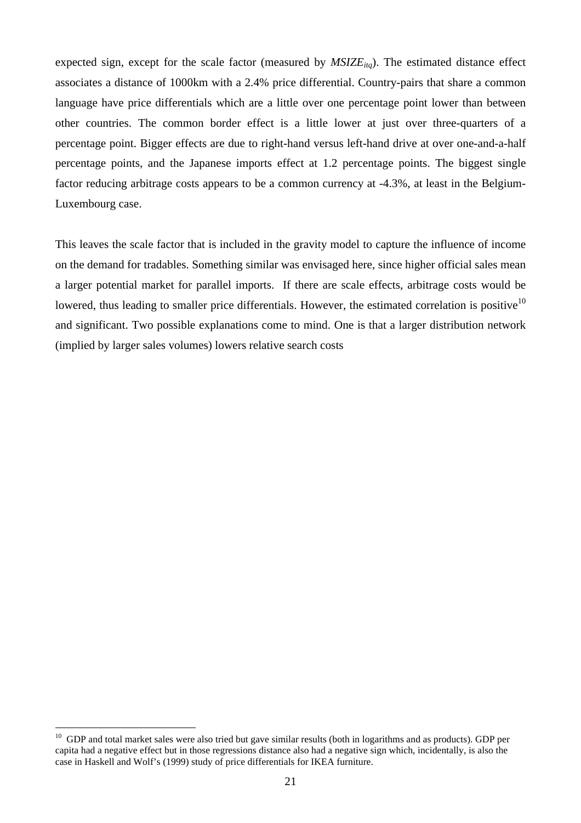expected sign, except for the scale factor (measured by  $MSIZE_{itq}$ ). The estimated distance effect associates a distance of 1000km with a 2.4% price differential. Country-pairs that share a common language have price differentials which are a little over one percentage point lower than between other countries. The common border effect is a little lower at just over three-quarters of a percentage point. Bigger effects are due to right-hand versus left-hand drive at over one-and-a-half percentage points, and the Japanese imports effect at 1.2 percentage points. The biggest single factor reducing arbitrage costs appears to be a common currency at -4.3%, at least in the Belgium-Luxembourg case.

This leaves the scale factor that is included in the gravity model to capture the influence of income on the demand for tradables. Something similar was envisaged here, since higher official sales mean a larger potential market for parallel imports. If there are scale effects, arbitrage costs would be lowered, thus leading to smaller price differentials. However, the estimated correlation is positive $10$ and significant. Two possible explanations come to mind. One is that a larger distribution network (implied by larger sales volumes) lowers relative search costs

 $\overline{a}$ 

 $10$  GDP and total market sales were also tried but gave similar results (both in logarithms and as products). GDP per capita had a negative effect but in those regressions distance also had a negative sign which, incidentally, is also the case in Haskell and Wolf's (1999) study of price differentials for IKEA furniture.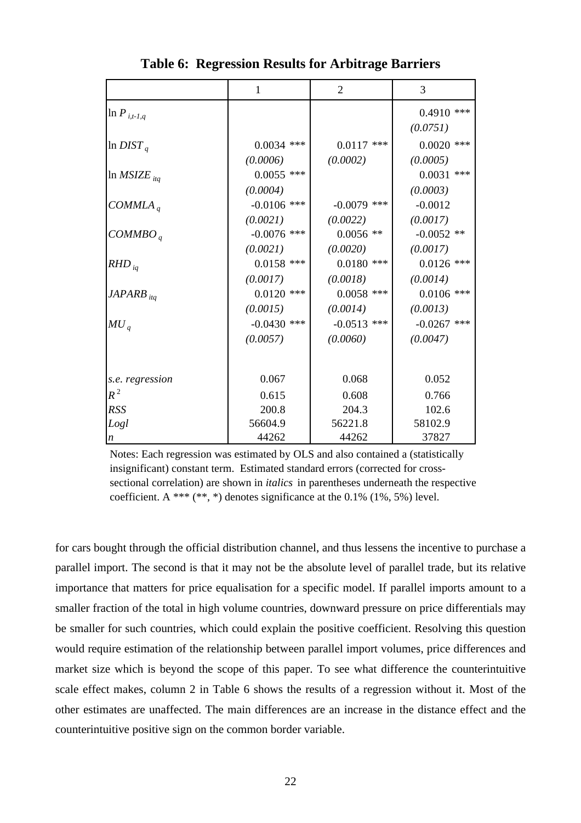|                         | $\mathbf{1}$  | $\overline{2}$ | 3             |
|-------------------------|---------------|----------------|---------------|
| $\ln P_{i,t-1,q}$       |               |                | $0.4910$ ***  |
|                         |               |                | (0.0751)      |
| $\ln$ DIST <sub>a</sub> | $0.0034$ ***  | $0.0117$ ***   | $0.0020$ ***  |
|                         | (0.0006)      | (0.0002)       | (0.0005)      |
| $\ln MSIZE_{itq}$       | $0.0055$ ***  |                | $0.0031$ ***  |
|                         | (0.0004)      |                | (0.0003)      |
| $COMMLA_a$              | $-0.0106$ *** | $-0.0079$ ***  | $-0.0012$     |
|                         | (0.0021)      | (0.0022)       | (0.0017)      |
| COMMBO <sub>q</sub>     | $-0.0076$ *** | $0.0056$ **    | $-0.0052$ **  |
|                         | (0.0021)      | (0.0020)       | (0.0017)      |
| $RHD_{iq}$              | $0.0158$ ***  | $0.0180$ ***   | $0.0126$ ***  |
|                         | (0.0017)      | (0.0018)       | (0.0014)      |
| $JAPARB$ <sub>itq</sub> | $0.0120$ ***  | $0.0058$ ***   | $0.0106$ ***  |
|                         | (0.0015)      | (0.0014)       | (0.0013)      |
| $MU_a$                  | $-0.0430$ *** | $-0.0513$ ***  | $-0.0267$ *** |
|                         | (0.0057)      | (0.0060)       | (0.0047)      |
|                         |               |                |               |
|                         | 0.067         |                | 0.052         |
| s.e. regression         |               | 0.068          |               |
| $R^2$                   | 0.615         | 0.608          | 0.766         |
| <b>RSS</b>              | 200.8         | 204.3          | 102.6         |
| Logl                    | 56604.9       | 56221.8        | 58102.9       |
| $\boldsymbol{n}$        | 44262         | 44262          | 37827         |

**Table 6: Regression Results for Arbitrage Barriers**

Notes: Each regression was estimated by OLS and also contained a (statistically insignificant) constant term. Estimated standard errors (corrected for crosssectional correlation) are shown in *italics* in parentheses underneath the respective coefficient. A \*\*\*  $(**,*)$  denotes significance at the 0.1%  $(1%, 5%)$  level.

for cars bought through the official distribution channel, and thus lessens the incentive to purchase a parallel import. The second is that it may not be the absolute level of parallel trade, but its relative importance that matters for price equalisation for a specific model. If parallel imports amount to a smaller fraction of the total in high volume countries, downward pressure on price differentials may be smaller for such countries, which could explain the positive coefficient. Resolving this question would require estimation of the relationship between parallel import volumes, price differences and market size which is beyond the scope of this paper. To see what difference the counterintuitive scale effect makes, column 2 in Table 6 shows the results of a regression without it. Most of the other estimates are unaffected. The main differences are an increase in the distance effect and the counterintuitive positive sign on the common border variable.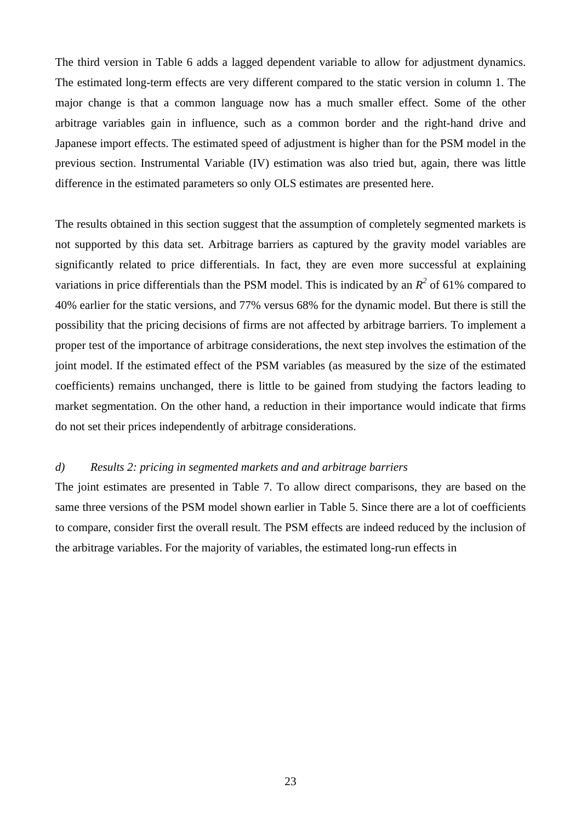The third version in Table 6 adds a lagged dependent variable to allow for adjustment dynamics. The estimated long-term effects are very different compared to the static version in column 1. The major change is that a common language now has a much smaller effect. Some of the other arbitrage variables gain in influence, such as a common border and the right-hand drive and Japanese import effects. The estimated speed of adjustment is higher than for the PSM model in the previous section. Instrumental Variable (IV) estimation was also tried but, again, there was little difference in the estimated parameters so only OLS estimates are presented here.

The results obtained in this section suggest that the assumption of completely segmented markets is not supported by this data set. Arbitrage barriers as captured by the gravity model variables are significantly related to price differentials. In fact, they are even more successful at explaining variations in price differentials than the PSM model. This is indicated by an  $R^2$  of 61% compared to 40% earlier for the static versions, and 77% versus 68% for the dynamic model. But there is still the possibility that the pricing decisions of firms are not affected by arbitrage barriers. To implement a proper test of the importance of arbitrage considerations, the next step involves the estimation of the joint model. If the estimated effect of the PSM variables (as measured by the size of the estimated coefficients) remains unchanged, there is little to be gained from studying the factors leading to market segmentation. On the other hand, a reduction in their importance would indicate that firms do not set their prices independently of arbitrage considerations.

#### *d) Results 2: pricing in segmented markets and and arbitrage barriers*

The joint estimates are presented in Table 7. To allow direct comparisons, they are based on the same three versions of the PSM model shown earlier in Table 5. Since there are a lot of coefficients to compare, consider first the overall result. The PSM effects are indeed reduced by the inclusion of the arbitrage variables. For the majority of variables, the estimated long-run effects in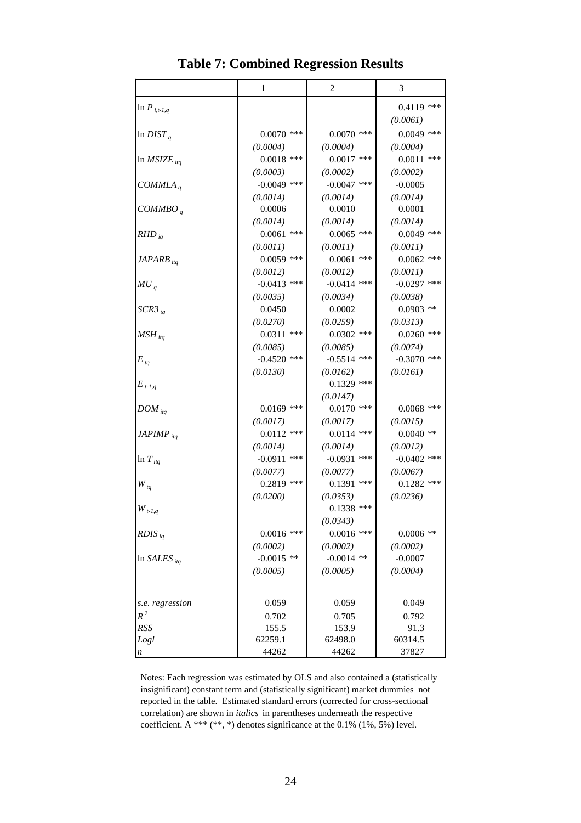|                                 | 1                        | 2                        | 3                     |
|---------------------------------|--------------------------|--------------------------|-----------------------|
| $\ln P_{i,t-1,q}$               |                          |                          | $0.4119$ ***          |
|                                 |                          |                          | (0.0061)              |
| $\ln$ DIST <sub>a</sub>         | $0.0070$ ***             | $0.0070$ ***             | $0.0049$ ***          |
|                                 | (0.0004)                 | (0.0004)                 | (0.0004)              |
| In $MSIZE_{itq}$                | $0.0018$ ***             | $0.0017$ ***             | $0.0011$ ***          |
|                                 | (0.0003)                 | (0.0002)                 | (0.0002)              |
| COMMLA <sub>q</sub>             | $-0.0049$ ***            | $-0.0047$ ***            | $-0.0005$             |
|                                 | (0.0014)                 | (0.0014)                 | (0.0014)              |
| COMMBO <sub>a</sub>             | 0.0006                   | 0.0010                   | 0.0001                |
|                                 | (0.0014)                 | (0.0014)                 | (0.0014)              |
| $RHD_{iq}$                      | $0.0061$ ***             | $0.0065$ ***             | $0.0049$ ***          |
|                                 | (0.0011)                 | (0.0011)                 | (0.0011)              |
| $JAPARB$ <sub>itq</sub>         | $0.0059$ ***             | $0.0061$ ***             | $0.0062$ ***          |
|                                 | (0.0012)                 | (0.0012)                 | (0.0011)              |
| $MU_{q}$                        | $-0.0413$ ***            | $-0.0414$ ***            | $-0.0297$ ***         |
|                                 | (0.0035)                 | (0.0034)                 | (0.0038)              |
| $SCR3_{tq}$                     | 0.0450                   | 0.0002                   | $0.0903$ **           |
|                                 | (0.0270)                 | (0.0259)                 | (0.0313)              |
| $MSH_{itq}$                     | $0.0311$ ***             | $0.0302$ ***             | $0.0260$ ***          |
|                                 | (0.0085)                 | (0.0085)                 | (0.0074)              |
| $E_{tq}$                        | $-0.4520$ ***            | $-0.5514$ ***            | $-0.3070$ ***         |
|                                 | (0.0130)                 | (0.0162)                 | (0.0161)              |
| $E_{t-1,q}$                     |                          | $0.1329$ ***             |                       |
|                                 |                          | (0.0147)                 |                       |
| $DOM_{itq}$                     | $0.0169$ ***             | $0.0170$ ***             | $0.0068$ ***          |
|                                 | (0.0017)                 | (0.0017)                 | (0.0015)              |
| $JAPIMP_{itq}$                  | $0.0112$ ***             | $0.0114$ ***             | $0.0040$ **           |
|                                 | (0.0014)                 | (0.0014)                 | (0.0012)              |
| $\ln T_{itq}$                   | $-0.0911$ ***            | $-0.0931$ ***            | $-0.0402$ ***         |
|                                 | (0.0077)                 | (0.0077)                 | (0.0067)              |
| $W_{tq}$                        | $0.2819$ ***             | $0.1391$ ***             | $0.1282$ ***          |
|                                 | (0.0200)                 | (0.0353)                 | (0.0236)              |
| $\boldsymbol{W}_{t\text{-}l,q}$ |                          | $0.1338$ ***             |                       |
|                                 |                          | (0.0343)                 |                       |
| $RDIS_{iq}$                     | $0.0016$ ***             | $0.0016$ ***             | $0.0006$ **           |
|                                 | (0.0002)<br>$-0.0015$ ** | (0.0002)<br>$-0.0014$ ** | (0.0002)<br>$-0.0007$ |
| In SALES $_{ita}$               |                          |                          | (0.0004)              |
|                                 | (0.0005)                 | (0.0005)                 |                       |
| s.e. regression                 | 0.059                    | 0.059                    | 0.049                 |
| $R^2$                           | 0.702                    | 0.705                    | 0.792                 |
| <b>RSS</b>                      | 155.5                    | 153.9                    | 91.3                  |
| Logl                            | 62259.1                  | 62498.0                  | 60314.5               |
| n                               | 44262                    | 44262                    | 37827                 |

**Table 7: Combined Regression Results**

Notes: Each regression was estimated by OLS and also contained a (statistically insignificant) constant term and (statistically significant) market dummies not reported in the table. Estimated standard errors (corrected for cross-sectional correlation) are shown in *italics* in parentheses underneath the respective coefficient. A \*\*\* (\*\*, \*) denotes significance at the 0.1% (1%, 5%) level.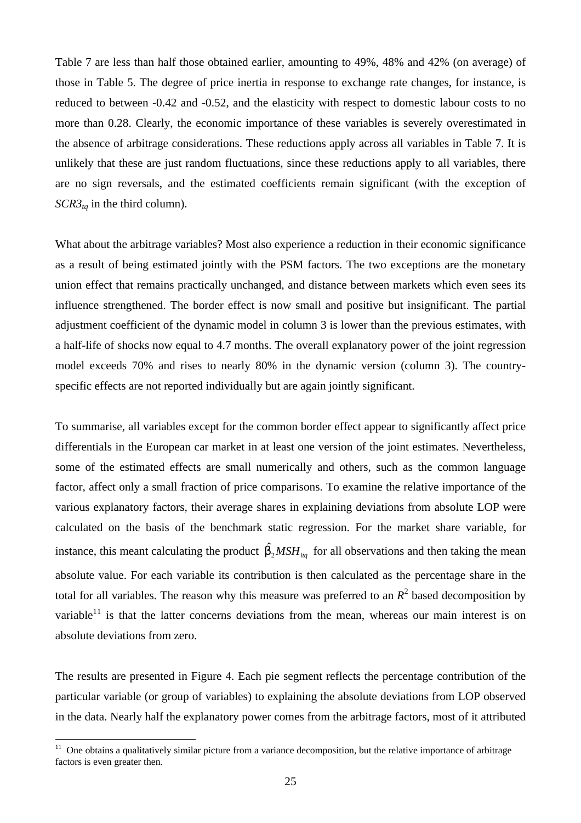Table 7 are less than half those obtained earlier, amounting to 49%, 48% and 42% (on average) of those in Table 5. The degree of price inertia in response to exchange rate changes, for instance, is reduced to between -0.42 and -0.52, and the elasticity with respect to domestic labour costs to no more than 0.28. Clearly, the economic importance of these variables is severely overestimated in the absence of arbitrage considerations. These reductions apply across all variables in Table 7. It is unlikely that these are just random fluctuations, since these reductions apply to all variables, there are no sign reversals, and the estimated coefficients remain significant (with the exception of  $SCR3<sub>tq</sub>$  in the third column).

What about the arbitrage variables? Most also experience a reduction in their economic significance as a result of being estimated jointly with the PSM factors. The two exceptions are the monetary union effect that remains practically unchanged, and distance between markets which even sees its influence strengthened. The border effect is now small and positive but insignificant. The partial adjustment coefficient of the dynamic model in column 3 is lower than the previous estimates, with a half-life of shocks now equal to 4.7 months. The overall explanatory power of the joint regression model exceeds 70% and rises to nearly 80% in the dynamic version (column 3). The countryspecific effects are not reported individually but are again jointly significant.

To summarise, all variables except for the common border effect appear to significantly affect price differentials in the European car market in at least one version of the joint estimates. Nevertheless, some of the estimated effects are small numerically and others, such as the common language factor, affect only a small fraction of price comparisons. To examine the relative importance of the various explanatory factors, their average shares in explaining deviations from absolute LOP were calculated on the basis of the benchmark static regression. For the market share variable, for instance, this meant calculating the product  $\hat{b}_2 MSH_{i_{tq}}$  for all observations and then taking the mean absolute value. For each variable its contribution is then calculated as the percentage share in the total for all variables. The reason why this measure was preferred to an  $R<sup>2</sup>$  based decomposition by variable $11$  is that the latter concerns deviations from the mean, whereas our main interest is on absolute deviations from zero.

The results are presented in Figure 4. Each pie segment reflects the percentage contribution of the particular variable (or group of variables) to explaining the absolute deviations from LOP observed in the data. Nearly half the explanatory power comes from the arbitrage factors, most of it attributed

 $11\,$ <sup>11</sup> One obtains a qualitatively similar picture from a variance decomposition, but the relative importance of arbitrage factors is even greater then.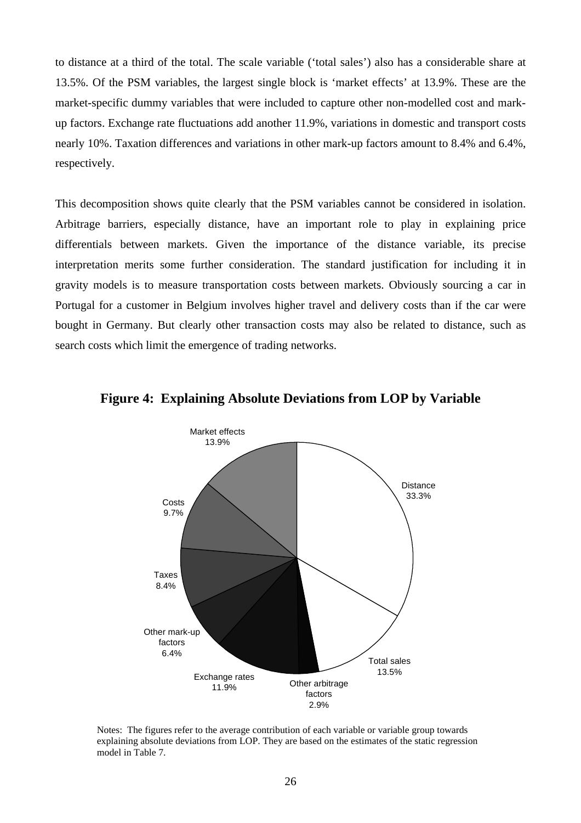to distance at a third of the total. The scale variable ('total sales') also has a considerable share at 13.5%. Of the PSM variables, the largest single block is 'market effects' at 13.9%. These are the market-specific dummy variables that were included to capture other non-modelled cost and markup factors. Exchange rate fluctuations add another 11.9%, variations in domestic and transport costs nearly 10%. Taxation differences and variations in other mark-up factors amount to 8.4% and 6.4%, respectively.

This decomposition shows quite clearly that the PSM variables cannot be considered in isolation. Arbitrage barriers, especially distance, have an important role to play in explaining price differentials between markets. Given the importance of the distance variable, its precise interpretation merits some further consideration. The standard justification for including it in gravity models is to measure transportation costs between markets. Obviously sourcing a car in Portugal for a customer in Belgium involves higher travel and delivery costs than if the car were bought in Germany. But clearly other transaction costs may also be related to distance, such as search costs which limit the emergence of trading networks.



### **Figure 4: Explaining Absolute Deviations from LOP by Variable**

Notes: The figures refer to the average contribution of each variable or variable group towards explaining absolute deviations from LOP. They are based on the estimates of the static regression model in Table 7.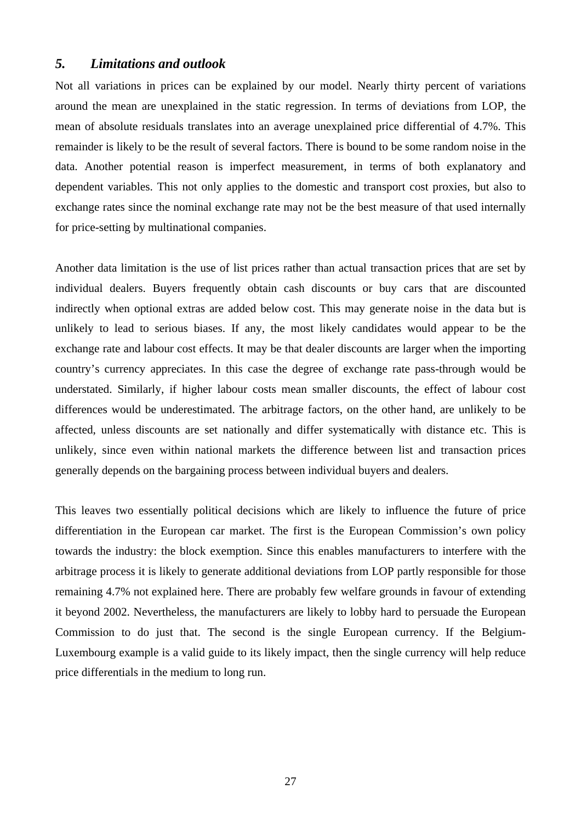## *5. Limitations and outlook*

Not all variations in prices can be explained by our model. Nearly thirty percent of variations around the mean are unexplained in the static regression. In terms of deviations from LOP, the mean of absolute residuals translates into an average unexplained price differential of 4.7%. This remainder is likely to be the result of several factors. There is bound to be some random noise in the data. Another potential reason is imperfect measurement, in terms of both explanatory and dependent variables. This not only applies to the domestic and transport cost proxies, but also to exchange rates since the nominal exchange rate may not be the best measure of that used internally for price-setting by multinational companies.

Another data limitation is the use of list prices rather than actual transaction prices that are set by individual dealers. Buyers frequently obtain cash discounts or buy cars that are discounted indirectly when optional extras are added below cost. This may generate noise in the data but is unlikely to lead to serious biases. If any, the most likely candidates would appear to be the exchange rate and labour cost effects. It may be that dealer discounts are larger when the importing country's currency appreciates. In this case the degree of exchange rate pass-through would be understated. Similarly, if higher labour costs mean smaller discounts, the effect of labour cost differences would be underestimated. The arbitrage factors, on the other hand, are unlikely to be affected, unless discounts are set nationally and differ systematically with distance etc. This is unlikely, since even within national markets the difference between list and transaction prices generally depends on the bargaining process between individual buyers and dealers.

This leaves two essentially political decisions which are likely to influence the future of price differentiation in the European car market. The first is the European Commission's own policy towards the industry: the block exemption. Since this enables manufacturers to interfere with the arbitrage process it is likely to generate additional deviations from LOP partly responsible for those remaining 4.7% not explained here. There are probably few welfare grounds in favour of extending it beyond 2002. Nevertheless, the manufacturers are likely to lobby hard to persuade the European Commission to do just that. The second is the single European currency. If the Belgium-Luxembourg example is a valid guide to its likely impact, then the single currency will help reduce price differentials in the medium to long run.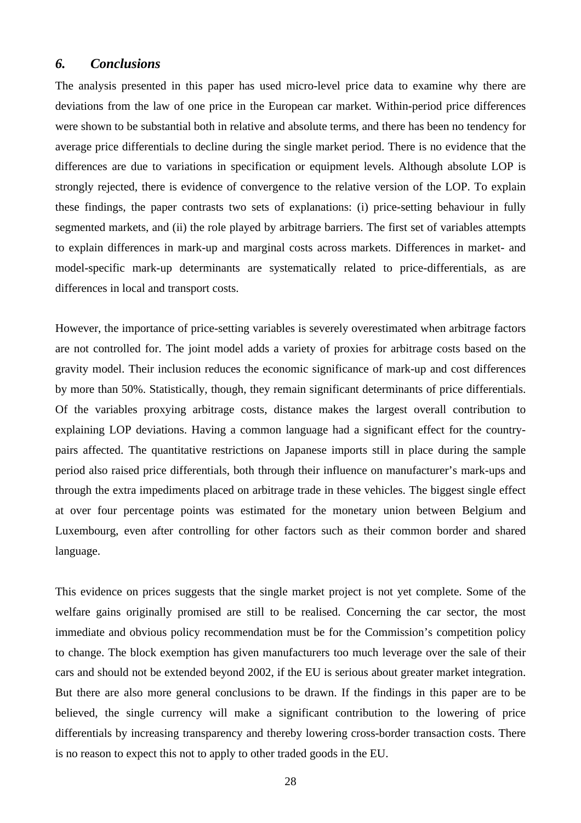## *6. Conclusions*

The analysis presented in this paper has used micro-level price data to examine why there are deviations from the law of one price in the European car market. Within-period price differences were shown to be substantial both in relative and absolute terms, and there has been no tendency for average price differentials to decline during the single market period. There is no evidence that the differences are due to variations in specification or equipment levels. Although absolute LOP is strongly rejected, there is evidence of convergence to the relative version of the LOP. To explain these findings, the paper contrasts two sets of explanations: (i) price-setting behaviour in fully segmented markets, and (ii) the role played by arbitrage barriers. The first set of variables attempts to explain differences in mark-up and marginal costs across markets. Differences in market- and model-specific mark-up determinants are systematically related to price-differentials, as are differences in local and transport costs.

However, the importance of price-setting variables is severely overestimated when arbitrage factors are not controlled for. The joint model adds a variety of proxies for arbitrage costs based on the gravity model. Their inclusion reduces the economic significance of mark-up and cost differences by more than 50%. Statistically, though, they remain significant determinants of price differentials. Of the variables proxying arbitrage costs, distance makes the largest overall contribution to explaining LOP deviations. Having a common language had a significant effect for the countrypairs affected. The quantitative restrictions on Japanese imports still in place during the sample period also raised price differentials, both through their influence on manufacturer's mark-ups and through the extra impediments placed on arbitrage trade in these vehicles. The biggest single effect at over four percentage points was estimated for the monetary union between Belgium and Luxembourg, even after controlling for other factors such as their common border and shared language.

This evidence on prices suggests that the single market project is not yet complete. Some of the welfare gains originally promised are still to be realised. Concerning the car sector, the most immediate and obvious policy recommendation must be for the Commission's competition policy to change. The block exemption has given manufacturers too much leverage over the sale of their cars and should not be extended beyond 2002, if the EU is serious about greater market integration. But there are also more general conclusions to be drawn. If the findings in this paper are to be believed, the single currency will make a significant contribution to the lowering of price differentials by increasing transparency and thereby lowering cross-border transaction costs. There is no reason to expect this not to apply to other traded goods in the EU.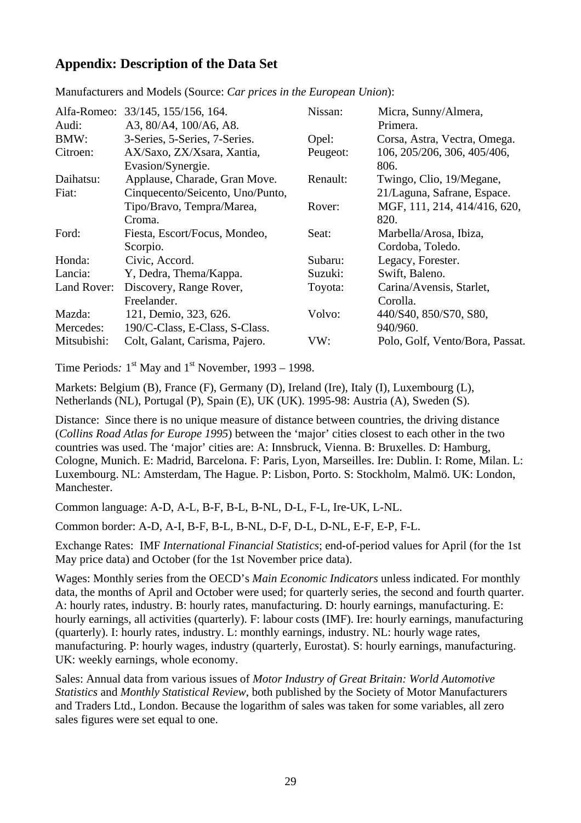# **Appendix: Description of the Data Set**

| Audi:       | Alfa-Romeo: 33/145, 155/156, 164.<br>A3, 80/A4, 100/A6, A8. | Nissan:  | Micra, Sunny/Almera,<br>Primera.    |
|-------------|-------------------------------------------------------------|----------|-------------------------------------|
| BMW:        | 3-Series, 5-Series, 7-Series.                               | Opel:    | Corsa, Astra, Vectra, Omega.        |
| Citroen:    | AX/Saxo, ZX/Xsara, Xantia,<br>Evasion/Synergie.             | Peugeot: | 106, 205/206, 306, 405/406,<br>806. |
| Daihatsu:   | Applause, Charade, Gran Move.                               | Renault: | Twingo, Clio, 19/Megane,            |
| Fiat:       | Cinquecento/Seicento, Uno/Punto,                            |          | 21/Laguna, Safrane, Espace.         |
|             | Tipo/Bravo, Tempra/Marea,                                   | Rover:   | MGF, 111, 214, 414/416, 620,        |
|             | Croma.                                                      |          | 820.                                |
| Ford:       | Fiesta, Escort/Focus, Mondeo,                               | Seat:    | Marbella/Arosa, Ibiza,              |
|             | Scorpio.                                                    |          | Cordoba, Toledo.                    |
| Honda:      | Civic, Accord.                                              | Subaru:  | Legacy, Forester.                   |
| Lancia:     | Y, Dedra, Thema/Kappa.                                      | Suzuki:  | Swift, Baleno.                      |
| Land Rover: | Discovery, Range Rover,                                     | Toyota:  | Carina/Avensis, Starlet,            |
|             | Freelander.                                                 |          | Corolla.                            |
| Mazda:      | 121, Demio, 323, 626.                                       | Volvo:   | 440/S40, 850/S70, S80,              |
| Mercedes:   | 190/C-Class, E-Class, S-Class.                              |          | 940/960.                            |
| Mitsubishi: | Colt, Galant, Carisma, Pajero.                              | VW:      | Polo, Golf, Vento/Bora, Passat.     |

Manufacturers and Models (Source: *Car prices in the European Union*):

Time Periods:  $1<sup>st</sup>$  May and  $1<sup>st</sup>$  November, 1993 – 1998.

Markets: Belgium (B), France (F), Germany (D), Ireland (Ire), Italy (I), Luxembourg (L), Netherlands (NL), Portugal (P), Spain (E), UK (UK). 1995-98: Austria (A), Sweden (S).

Distance: *S*ince there is no unique measure of distance between countries, the driving distance (*Collins Road Atlas for Europe 1995*) between the 'major' cities closest to each other in the two countries was used. The 'major' cities are: A: Innsbruck, Vienna. B: Bruxelles. D: Hamburg, Cologne, Munich. E: Madrid, Barcelona. F: Paris, Lyon, Marseilles. Ire: Dublin. I: Rome, Milan. L: Luxembourg. NL: Amsterdam, The Hague. P: Lisbon, Porto. S: Stockholm, Malmö. UK: London, Manchester.

Common language: A-D, A-L, B-F, B-L, B-NL, D-L, F-L, Ire-UK, L-NL.

Common border: A-D, A-I, B-F, B-L, B-NL, D-F, D-L, D-NL, E-F, E-P, F-L.

Exchange Rates: IMF *International Financial Statistics*; end-of-period values for April (for the 1st May price data) and October (for the 1st November price data).

Wages: Monthly series from the OECD's *Main Economic Indicators* unless indicated. For monthly data, the months of April and October were used; for quarterly series, the second and fourth quarter. A: hourly rates, industry. B: hourly rates, manufacturing. D: hourly earnings, manufacturing. E: hourly earnings, all activities (quarterly). F: labour costs (IMF). Ire: hourly earnings, manufacturing (quarterly). I: hourly rates, industry. L: monthly earnings, industry. NL: hourly wage rates, manufacturing. P: hourly wages, industry (quarterly, Eurostat). S: hourly earnings, manufacturing. UK: weekly earnings, whole economy.

Sales: Annual data from various issues of *Motor Industry of Great Britain: World Automotive Statistics* and *Monthly Statistical Review*, both published by the Society of Motor Manufacturers and Traders Ltd., London. Because the logarithm of sales was taken for some variables, all zero sales figures were set equal to one.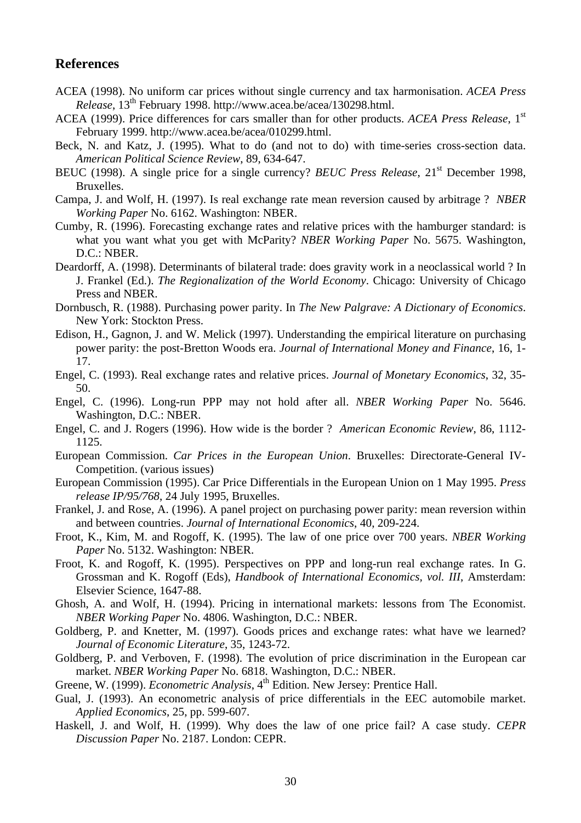## **References**

- ACEA (1998). No uniform car prices without single currency and tax harmonisation. *ACEA Press Release*, 13th February 1998. http://www.acea.be/acea/130298.html.
- ACEA (1999). Price differences for cars smaller than for other products. *ACEA Press Release*, 1<sup>st</sup> February 1999. http://www.acea.be/acea/010299.html.
- Beck, N. and Katz, J. (1995). What to do (and not to do) with time-series cross-section data. *American Political Science Review*, 89, 634-647.
- BEUC (1998). A single price for a single currency? *BEUC Press Release*, 21<sup>st</sup> December 1998, Bruxelles.
- Campa, J. and Wolf, H. (1997). Is real exchange rate mean reversion caused by arbitrage ? *NBER Working Paper* No. 6162. Washington: NBER.
- Cumby, R. (1996). Forecasting exchange rates and relative prices with the hamburger standard: is what you want what you get with McParity? *NBER Working Paper* No. 5675. Washington, D.C.: NBER.
- Deardorff, A. (1998). Determinants of bilateral trade: does gravity work in a neoclassical world ? In J. Frankel (Ed.). *The Regionalization of the World Economy*. Chicago: University of Chicago Press and NBER.
- Dornbusch, R. (1988). Purchasing power parity. In *The New Palgrave: A Dictionary of Economics*. New York: Stockton Press.
- Edison, H., Gagnon, J. and W. Melick (1997). Understanding the empirical literature on purchasing power parity: the post-Bretton Woods era. *Journal of International Money and Finance*, 16, 1- 17.
- Engel, C. (1993). Real exchange rates and relative prices. *Journal of Monetary Economics*, 32, 35- 50.
- Engel, C. (1996). Long-run PPP may not hold after all. *NBER Working Paper* No. 5646. Washington, D.C.: NBER.
- Engel, C. and J. Rogers (1996). How wide is the border ? *American Economic Review*, 86, 1112- 1125.
- European Commission. *Car Prices in the European Union*. Bruxelles: Directorate-General IV-Competition. (various issues)
- European Commission (1995). Car Price Differentials in the European Union on 1 May 1995. *Press release IP/95/768*, 24 July 1995, Bruxelles.
- Frankel, J. and Rose, A. (1996). A panel project on purchasing power parity: mean reversion within and between countries. *Journal of International Economics*, 40, 209-224.
- Froot, K., Kim, M. and Rogoff, K. (1995). The law of one price over 700 years. *NBER Working Paper* No. 5132. Washington: NBER.
- Froot, K. and Rogoff, K. (1995). Perspectives on PPP and long-run real exchange rates. In G. Grossman and K. Rogoff (Eds), *Handbook of International Economics, vol. III*, Amsterdam: Elsevier Science, 1647-88.
- Ghosh, A. and Wolf, H. (1994). Pricing in international markets: lessons from The Economist. *NBER Working Paper* No. 4806. Washington, D.C.: NBER.
- Goldberg, P. and Knetter, M. (1997). Goods prices and exchange rates: what have we learned? *Journal of Economic Literature*, 35, 1243-72.
- Goldberg, P. and Verboven, F. (1998). The evolution of price discrimination in the European car market. *NBER Working Paper* No. 6818. Washington, D.C.: NBER.
- Greene, W. (1999). *Econometric Analysis*, 4<sup>th</sup> Edition. New Jersey: Prentice Hall.
- Gual, J. (1993). An econometric analysis of price differentials in the EEC automobile market. *Applied Economics*, 25, pp. 599-607.
- Haskell, J. and Wolf, H. (1999). Why does the law of one price fail? A case study. *CEPR Discussion Paper* No. 2187. London: CEPR.